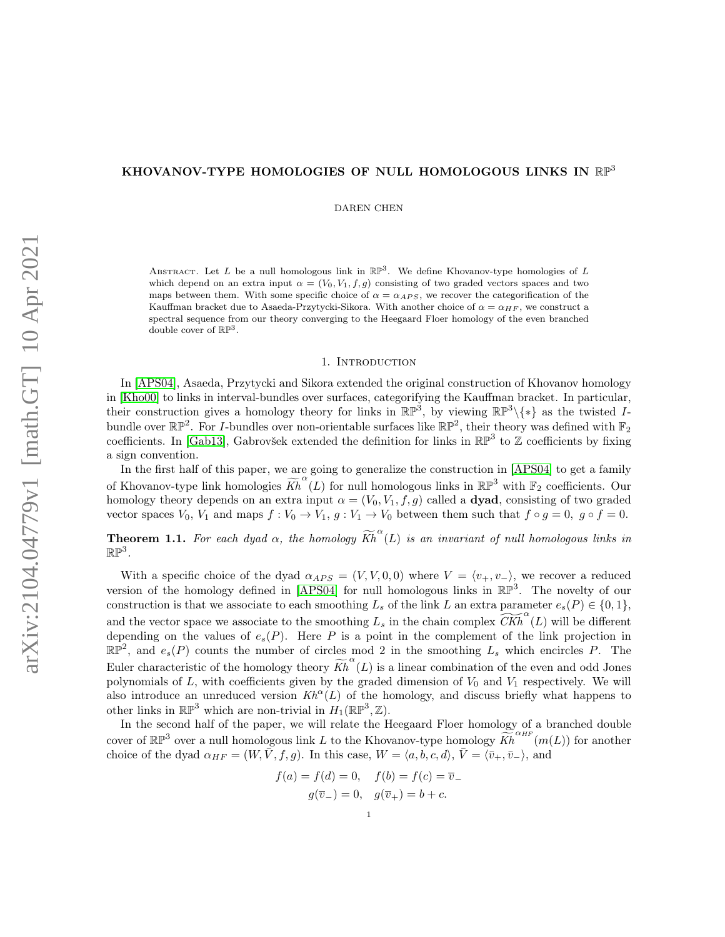### KHOVANOV-TYPE HOMOLOGIES OF NULL HOMOLOGOUS LINKS IN  $\mathbb{RP}^3$

DAREN CHEN

ABSTRACT. Let L be a null homologous link in  $\mathbb{RP}^3$ . We define Khovanov-type homologies of L which depend on an extra input  $\alpha = (V_0, V_1, f, g)$  consisting of two graded vectors spaces and two maps between them. With some specific choice of  $\alpha = \alpha_{APS}$ , we recover the categorification of the Kauffman bracket due to Asaeda-Przytycki-Sikora. With another choice of  $\alpha = \alpha_{HF}$ , we construct a spectral sequence from our theory converging to the Heegaard Floer homology of the even branched double cover of  $\mathbb{RP}^3$ .

#### 1. INTRODUCTION

In [\[APS04\]](#page-30-0), Asaeda, Przytycki and Sikora extended the original construction of Khovanov homology in [\[Kho00\]](#page-30-1) to links in interval-bundles over surfaces, categorifying the Kauffman bracket. In particular, their construction gives a homology theory for links in  $\mathbb{RP}^3$ , by viewing  $\mathbb{RP}^3\backslash\{*\}$  as the twisted Ibundle over  $\mathbb{RP}^2$ . For *I*-bundles over non-orientable surfaces like  $\mathbb{RP}^2$ , their theory was defined with  $\mathbb{F}_2$ coefficients. In [\[Gab13\]](#page-30-2), Gabrovšek extended the definition for links in  $\mathbb{RP}^3$  to  $\mathbb Z$  coefficients by fixing a sign convention.

In the first half of this paper, we are going to generalize the construction in [\[APS04\]](#page-30-0) to get a family of Khovanov-type link homologies  $\widetilde{Kh}^{\alpha}(L)$  for null homologous links in  $\mathbb{RP}^3$  with  $\mathbb{F}_2$  coefficients. Our homology theory depends on an extra input  $\alpha = (V_0, V_1, f, g)$  called a **dyad**, consisting of two graded vector spaces  $V_0$ ,  $V_1$  and maps  $f : V_0 \to V_1$ ,  $g : V_1 \to V_0$  between them such that  $f \circ g = 0$ ,  $g \circ f = 0$ .

**Theorem 1.1.** For each dyad  $\alpha$ , the homology  $\widetilde{Kh}^{\alpha}(L)$  is an invariant of null homologous links in  $\mathbb{RP}^3$  .

With a specific choice of the dyad  $\alpha_{APS} = (V, V, 0, 0)$  where  $V = \langle v_+, v_- \rangle$ , we recover a reduced version of the homology defined in [\[APS04\]](#page-30-0) for null homologous links in  $\mathbb{RP}^3$ . The novelty of our construction is that we associate to each smoothing  $L_s$  of the link  $L$  an extra parameter  $e_s(P) \in \{0, 1\}$ , and the vector space we associate to the smoothing  $L_s$  in the chain complex  $\widetilde{CKh}^{\alpha}(L)$  will be different depending on the values of  $e_s(P)$ . Here P is a point in the complement of the link projection in  $\mathbb{RP}^2$ , and  $e_s(P)$  counts the number of circles mod 2 in the smoothing  $L_s$  which encircles P. The Euler characteristic of the homology theory  $\widetilde{Kh}^{\alpha}(L)$  is a linear combination of the even and odd Jones polynomials of  $L$ , with coefficients given by the graded dimension of  $V_0$  and  $V_1$  respectively. We will also introduce an unreduced version  $Kh^{\alpha}(L)$  of the homology, and discuss briefly what happens to other links in  $\mathbb{RP}^3$  which are non-trivial in  $H_1(\mathbb{RP}^3, \mathbb{Z})$ .

In the second half of the paper, we will relate the Heegaard Floer homology of a branched double cover of  $\mathbb{RP}^3$  over a null homologous link L to the Khovanov-type homology  $\widetilde{Kh}^{\alpha_{HF}}(m(L))$  for another choice of the dyad  $\alpha_{HF} = (W, \bar{V}, f, g)$ . In this case,  $W = \langle a, b, c, d \rangle$ ,  $\bar{V} = \langle \bar{v}_+, \bar{v}_- \rangle$ , and

$$
f(a) = f(d) = 0, \quad f(b) = f(c) = \overline{v}_{-}
$$

$$
g(\overline{v}_{-}) = 0, \quad g(\overline{v}_{+}) = b + c.
$$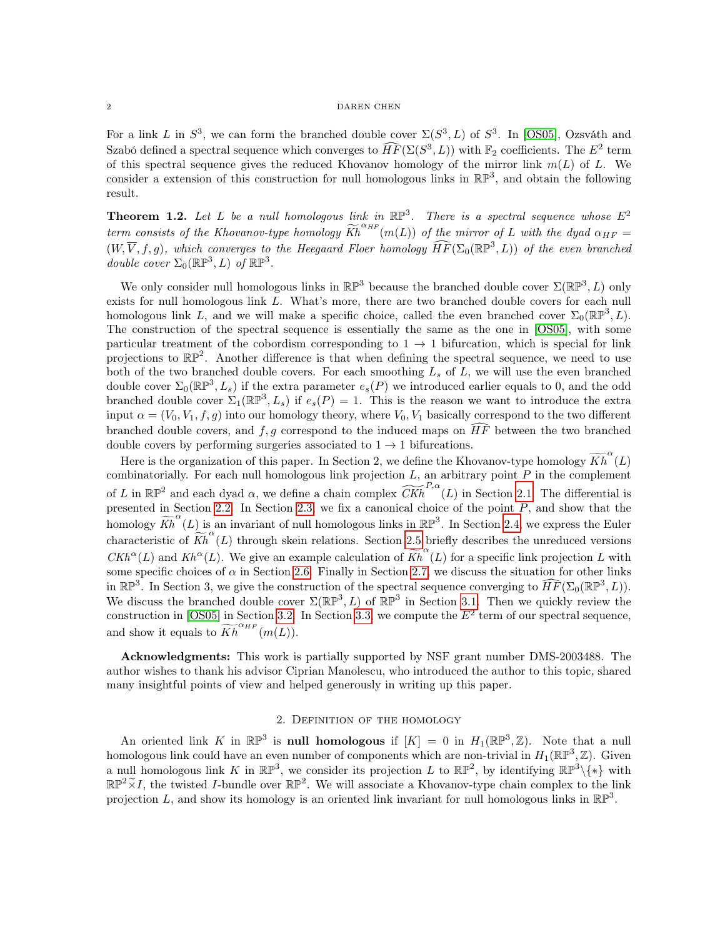#### $2\,$  DAREN CHEN

For a link L in  $S^3$ , we can form the branched double cover  $\Sigma(S^3, L)$  of  $S^3$ . In [\[OS05\]](#page-31-0), Ozsváth and Szabó defined a spectral sequence which converges to  $\widehat{HF}(\Sigma(S^3, L))$  with  $\mathbb{F}_2$  coefficients. The  $E^2$  term of this spectral sequence gives the reduced Khovanov homology of the mirror link  $m(L)$  of L. We consider a extension of this construction for null homologous links in  $\mathbb{RP}^3$ , and obtain the following result.

**Theorem 1.2.** Let L be a null homologous link in  $\mathbb{RP}^3$ . There is a spectral sequence whose  $E^2$ term consists of the Khovanov-type homology  $\widetilde{Kh}^{\alpha_{HF}}(m(L))$  of the mirror of L with the dyad  $\alpha_{HF} =$  $(W, \overline{V}, f, g)$ , which converges to the Heegaard Floer homology  $\widehat{HF}(\Sigma_0(\mathbb{RP}^3, L))$  of the even branched double cover  $\Sigma_0(\mathbb{RP}^3, L)$  of  $\mathbb{RP}^3$ .

We only consider null homologous links in  $\mathbb{RP}^3$  because the branched double cover  $\Sigma(\mathbb{RP}^3, L)$  only exists for null homologous link  $L$ . What's more, there are two branched double covers for each null homologous link L, and we will make a specific choice, called the even branched cover  $\Sigma_0(\mathbb{RP}^3, L)$ . The construction of the spectral sequence is essentially the same as the one in [\[OS05\]](#page-31-0), with some particular treatment of the cobordism corresponding to  $1 \rightarrow 1$  bifurcation, which is special for link projections to  $\mathbb{RP}^2$ . Another difference is that when defining the spectral sequence, we need to use both of the two branched double covers. For each smoothing  $L_s$  of  $L$ , we will use the even branched double cover  $\Sigma_0(\mathbb{RP}^3, L_s)$  if the extra parameter  $e_s(P)$  we introduced earlier equals to 0, and the odd branched double cover  $\Sigma_1(\mathbb{RP}^3, L_s)$  if  $e_s(P) = 1$ . This is the reason we want to introduce the extra input  $\alpha = (V_0, V_1, f, g)$  into our homology theory, where  $V_0, V_1$  basically correspond to the two different branched double covers, and  $f, g$  correspond to the induced maps on  $\widehat{HF}$  between the two branched double covers by performing surgeries associated to  $1 \rightarrow 1$  bifurcations.

Here is the organization of this paper. In Section 2, we define the Khovanov-type homology  $\widetilde{Kh}^{\alpha}(L)$ combinatorially. For each null homologous link projection  $L$ , an arbitrary point  $P$  in the complement of L in  $\mathbb{RP}^2$  $\mathbb{RP}^2$  and each dyad  $\alpha$ , we define a chain complex  $\widetilde{CKh}^{P,\alpha}(L)$  in Section 2.1. The differential is presented in Section [2](#page-8-0).2. In Section 2.3, we fix a canonical choice of the point  $P$ , and show that the homology  $\widetilde{Kh}^{\alpha}(L)$  is an invariant of null homologous links in  $\mathbb{RP}^3$ . In Section [2](#page-13-0).4, we express the Euler characteristic of  $\widetilde{Kh}^{\alpha}(L)$  through skein relations. Section [2](#page-15-0).5 briefly describes the unreduced versions  $CKh^{\alpha}(L)$  and  $Kh^{\alpha}(L)$ . We give an example calculation of  $\widetilde{Kh}^{\alpha}(L)$  for a specific link projection L with some specific choices of  $\alpha$  in Section [2](#page-17-0).6. Finally in Section 2.7, we discuss the situation for other links in  $\mathbb{RP}^3$ . In Section 3, we give the construction of the spectral sequence converging to  $\widehat{HF}(\Sigma_0(\mathbb{RP}^3, L))$ . We discuss the branched double cover  $\Sigma(\mathbb{RP}^3, L)$  $\Sigma(\mathbb{RP}^3, L)$  $\Sigma(\mathbb{RP}^3, L)$  of  $\mathbb{RP}^3$  in Section 3.1. Then we quickly review the construction in [\[OS05\]](#page-31-0) in Section [3](#page-23-0).2. In Section 3.3, we compute the  $E^2$  term of our spectral sequence, and show it equals to  $\widetilde{Kh}^{\alpha_{HF}}(m(L)).$ 

Acknowledgments: This work is partially supported by NSF grant number DMS-2003488. The author wishes to thank his advisor Ciprian Manolescu, who introduced the author to this topic, shared many insightful points of view and helped generously in writing up this paper.

## 2. Definition of the homology

An oriented link K in  $\mathbb{RP}^3$  is **null homologous** if  $[K] = 0$  in  $H_1(\mathbb{RP}^3, \mathbb{Z})$ . Note that a null homologous link could have an even number of components which are non-trivial in  $H_1(\mathbb{RP}^3, \mathbb{Z})$ . Given a null homologous link K in  $\mathbb{RP}^3$ , we consider its projection L to  $\mathbb{RP}^2$ , by identifying  $\mathbb{RP}^3\backslash\{*\}$  with  $\mathbb{RP}^2 \times I$ , the twisted I-bundle over  $\mathbb{RP}^2$ . We will associate a Khovanov-type chain complex to the link projection L, and show its homology is an oriented link invariant for null homologous links in  $\mathbb{RP}^3$ .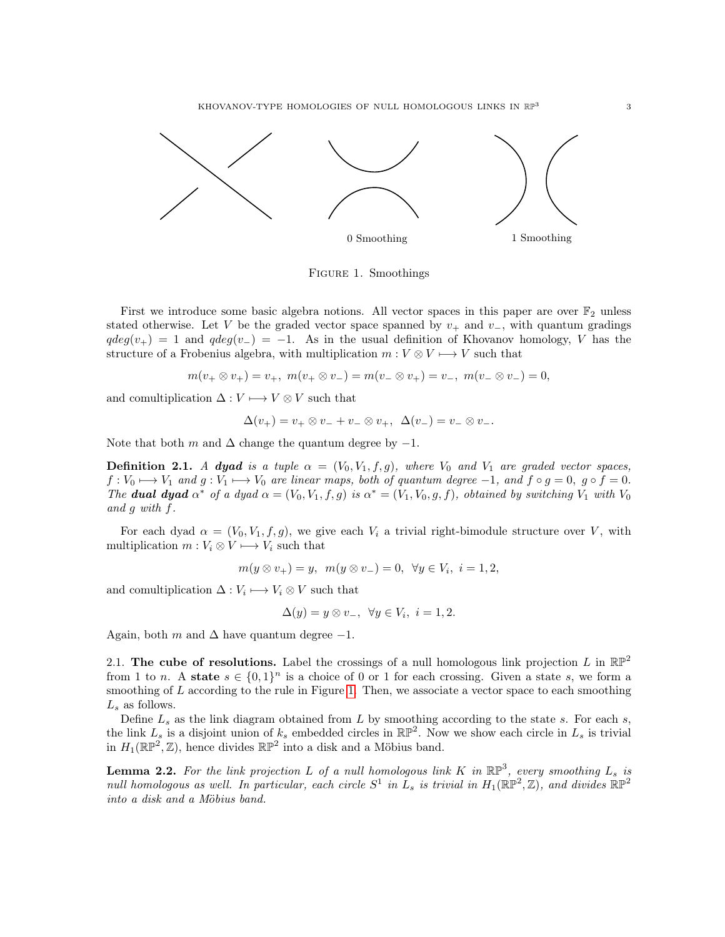KHOVANOV-TYPE HOMOLOGIES OF NULL HOMOLOGOUS LINKS IN RP<sup>3</sup>



<span id="page-2-1"></span>Figure 1. Smoothings

First we introduce some basic algebra notions. All vector spaces in this paper are over  $\mathbb{F}_2$  unless stated otherwise. Let V be the graded vector space spanned by  $v_{+}$  and  $v_{-}$ , with quantum gradings  $qdeg(v_{+}) = 1$  and  $qdeg(v_{-}) = -1$ . As in the usual definition of Khovanov homology, V has the structure of a Frobenius algebra, with multiplication  $m: V \otimes V \longmapsto V$  such that

$$
m(v_+ \otimes v_+) = v_+, \ m(v_+ \otimes v_-) = m(v_- \otimes v_+) = v_-, \ m(v_- \otimes v_-) = 0,
$$

and comultiplication  $\Delta: V \longmapsto V \otimes V$  such that

$$
\Delta(v_+) = v_+ \otimes v_- + v_- \otimes v_+, \quad \Delta(v_-) = v_- \otimes v_-.
$$

Note that both m and  $\Delta$  change the quantum degree by  $-1$ .

**Definition 2.1.** A dyad is a tuple  $\alpha = (V_0, V_1, f, g)$ , where  $V_0$  and  $V_1$  are graded vector spaces,  $f: V_0 \longrightarrow V_1$  and  $g: V_1 \longrightarrow V_0$  are linear maps, both of quantum degree  $-1$ , and  $f \circ g = 0$ ,  $g \circ f = 0$ . The **dual dyad**  $\alpha^*$  of a dyad  $\alpha = (V_0, V_1, f, g)$  is  $\alpha^* = (V_1, V_0, g, f)$ , obtained by switching  $V_1$  with  $V_0$ and  $q$  with  $f$ .

For each dyad  $\alpha = (V_0, V_1, f, g)$ , we give each  $V_i$  a trivial right-bimodule structure over V, with multiplication  $m: V_i \otimes V \longrightarrow V_i$  such that

$$
m(y \otimes v_+) = y, \ \ m(y \otimes v_-) = 0, \ \ \forall y \in V_i, \ \ i = 1, 2,
$$

and comultiplication  $\Delta: V_i \longmapsto V_i \otimes V$  such that

$$
\Delta(y) = y \otimes v_-, \ \forall y \in V_i, \ i = 1, 2.
$$

Again, both m and  $\Delta$  have quantum degree  $-1$ .

<span id="page-2-0"></span>2.1. The cube of resolutions. Label the crossings of a null homologous link projection L in  $\mathbb{RP}^2$ from 1 to *n*. A state  $s \in \{0,1\}^n$  is a choice of 0 or 1 for each crossing. Given a state *s*, we form a smoothing of  $L$  according to the rule in Figure [1](#page-2-1). Then, we associate a vector space to each smoothing  $L_s$  as follows.

Define  $L_s$  as the link diagram obtained from  $L$  by smoothing according to the state  $s$ . For each  $s$ , the link  $L_s$  is a disjoint union of  $k_s$  embedded circles in  $\mathbb{RP}^2$ . Now we show each circle in  $L_s$  is trivial in  $H_1(\mathbb{RP}^2, \mathbb{Z})$ , hence divides  $\mathbb{RP}^2$  into a disk and a Möbius band.

<span id="page-2-2"></span>**Lemma 2.2.** For the link projection L of a null homologous link K in  $\mathbb{RP}^3$ , every smoothing L<sub>s</sub> is null homologous as well. In particular, each circle  $S^1$  in  $L_s$  is trivial in  $H_1(\mathbb{RP}^2, \mathbb{Z})$ , and divides  $\mathbb{RP}^2$ into a disk and a Möbius band.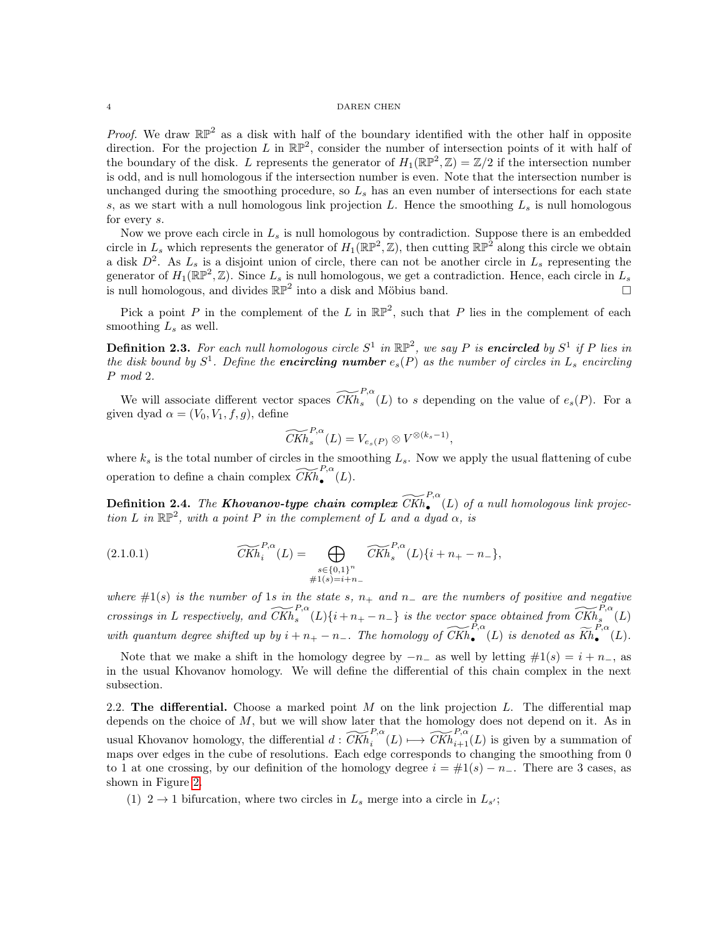*Proof.* We draw  $\mathbb{RP}^2$  as a disk with half of the boundary identified with the other half in opposite direction. For the projection L in  $\mathbb{RP}^2$ , consider the number of intersection points of it with half of the boundary of the disk. L represents the generator of  $H_1(\mathbb{RP}^2, \mathbb{Z}) = \mathbb{Z}/2$  if the intersection number is odd, and is null homologous if the intersection number is even. Note that the intersection number is unchanged during the smoothing procedure, so  $L<sub>s</sub>$  has an even number of intersections for each state s, as we start with a null homologous link projection L. Hence the smoothing  $L_s$  is null homologous for every s.

Now we prove each circle in  $L_s$  is null homologous by contradiction. Suppose there is an embedded circle in  $L_s$  which represents the generator of  $H_1(\mathbb{RP}^2, \mathbb{Z})$ , then cutting  $\mathbb{RP}^2$  along this circle we obtain a disk  $D^2$ . As  $L_s$  is a disjoint union of circle, there can not be another circle in  $L_s$  representing the generator of  $H_1(\mathbb{RP}^2, \mathbb{Z})$ . Since  $L_s$  is null homologous, we get a contradiction. Hence, each circle in  $L_s$ is null homologous, and divides  $\mathbb{RP}^2$  into a disk and Möbius band.

Pick a point P in the complement of the L in  $\mathbb{RP}^2$ , such that P lies in the complement of each smoothing  $L_s$  as well.

**Definition 2.3.** For each null homologous circle  $S^1$  in  $\mathbb{RP}^2$ , we say P is **encircled** by  $S^1$  if P lies in the disk bound by  $S^1$ . Define the **encircling number**  $e_s(P)$  as the number of circles in  $L_s$  encircling mod 2.

We will associate different vector spaces  $\widetilde{CKh}_{s}^{P,\alpha}(L)$  to s depending on the value of  $e_s(P)$ . For a given dyad  $\alpha = (V_0, V_1, f, g)$ , define

<span id="page-3-1"></span>
$$
\widetilde{CKh}_s^{P,\alpha}(L) = V_{e_s(P)} \otimes V^{\otimes (k_s - 1)},
$$

where  $k_s$  is the total number of circles in the smoothing  $L_s$ . Now we apply the usual flattening of cube operation to define a chain complex  $\widetilde{CKh}_{\bullet}^{P,\alpha}(L)$ .

<span id="page-3-2"></span>**Definition 2.4.** The **Khovanov-type chain complex**  $\widetilde{CKh}_{\bullet}^{P,\alpha}(L)$  of a null homologous link projection L in  $\mathbb{RP}^2$ , with a point P in the complement of L and a dyad  $\alpha$ , is

(2.1.0.1) 
$$
\widetilde{CKh}_i^{P,\alpha}(L) = \bigoplus_{\substack{s \in \{0,1\}^n \\ \#1(s)=i+n_-}} \widetilde{CKh}_s^{P,\alpha}(L)\{i+n_+-n_-\},
$$

where  $\#1(s)$  is the number of 1s in the state s,  $n_+$  and  $n_-$  are the numbers of positive and negative crossings in L respectively, and  $\widetilde{CKh}_s^{P,\alpha}(L)\{i+n_+-n_-\}$  is the vector space obtained from  $\widetilde{CKh}_s^{P,\alpha}(L)$ with quantum degree shifted up by  $i + n_+ - n_-$ . The homology of  $\widetilde{CKh}_{\bullet}^{P,\alpha}(L)$  is denoted as  $\widetilde{Kh}_{\bullet}^{P,\alpha}$  $\bullet$ <sup>"</sup> $(L).$ 

Note that we make a shift in the homology degree by  $-n_-$  as well by letting  $\#1(s) = i + n_-$ , as in the usual Khovanov homology. We will define the differential of this chain complex in the next subsection.

<span id="page-3-0"></span>2.2. The differential. Choose a marked point  $M$  on the link projection  $L$ . The differential map depends on the choice of  $M$ , but we will show later that the homology does not depend on it. As in usual Khovanov homology, the differential  $d: \widetilde{CKh}_i^{P,\alpha}(L) \longmapsto \widetilde{CKh}_{i+1}^{P,\alpha}(L)$  is given by a summation of maps over edges in the cube of resolutions. Each edge corresponds to changing the smoothing from 0 to 1 at one crossing, by our definition of the homology degree  $i = #1(s) - n_-\$ . There are 3 cases, as shown in Figure [2](#page-4-0).

(1)  $2 \rightarrow 1$  bifurcation, where two circles in  $L_s$  merge into a circle in  $L_{s'}$ ;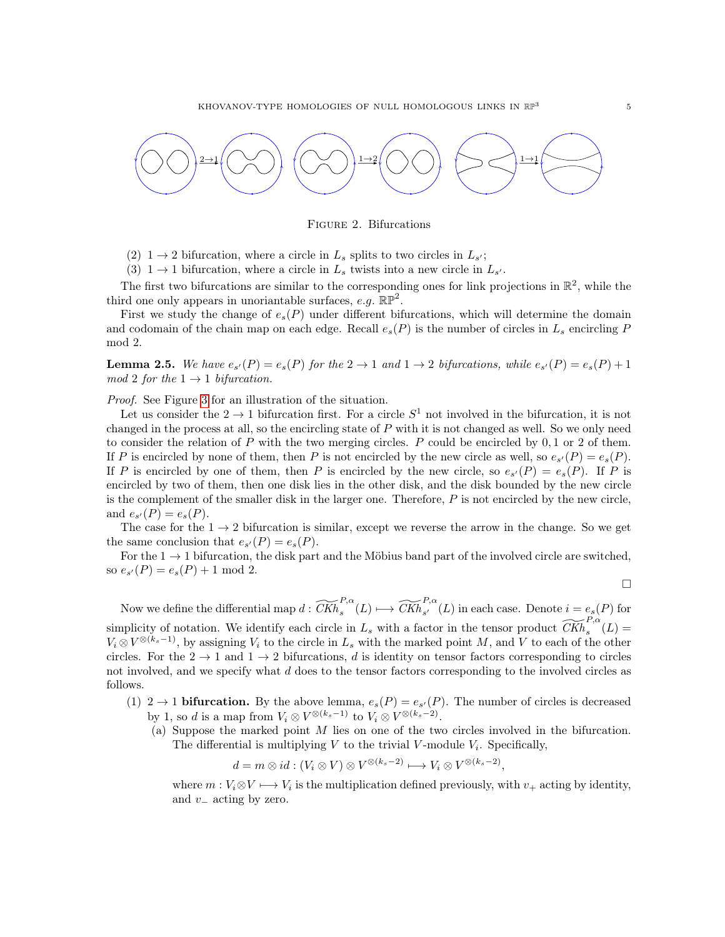

<span id="page-4-0"></span>Figure 2. Bifurcations

- (2)  $1 \rightarrow 2$  bifurcation, where a circle in  $L_s$  splits to two circles in  $L_{s'}$ ;
- (3)  $1 \rightarrow 1$  bifurcation, where a circle in  $L_s$  twists into a new circle in  $L_{s'}$ .

The first two bifurcations are similar to the corresponding ones for link projections in  $\mathbb{R}^2$ , while the third one only appears in unoriantable surfaces, e.g.  $\mathbb{RP}^2$ .

First we study the change of  $e_s(P)$  under different bifurcations, which will determine the domain and codomain of the chain map on each edge. Recall  $e_s(P)$  is the number of circles in  $L_s$  encircling P mod 2.

**Lemma 2.5.** We have  $e_{s'}(P) = e_s(P)$  for the  $2 \to 1$  and  $1 \to 2$  bifurcations, while  $e_{s'}(P) = e_s(P) + 1$ mod 2 for the  $1 \rightarrow 1$  bifurcation.

Proof. See Figure [3](#page-5-0) for an illustration of the situation.

Let us consider the  $2 \to 1$  bifurcation first. For a circle  $S^1$  not involved in the bifurcation, it is not changed in the process at all, so the encircling state of  $P$  with it is not changed as well. So we only need to consider the relation of  $P$  with the two merging circles.  $P$  could be encircled by  $0, 1$  or 2 of them. If P is encircled by none of them, then P is not encircled by the new circle as well, so  $e_{s'}(P) = e_s(P)$ . If P is encircled by one of them, then P is encircled by the new circle, so  $e_{s'}(P) = e_s(P)$ . If P is encircled by two of them, then one disk lies in the other disk, and the disk bounded by the new circle is the complement of the smaller disk in the larger one. Therefore,  $P$  is not encircled by the new circle, and  $e_{s'}(P) = e_s(P)$ .

The case for the  $1 \rightarrow 2$  bifurcation is similar, except we reverse the arrow in the change. So we get the same conclusion that  $e_{s'}(P) = e_s(P)$ .

For the  $1 \rightarrow 1$  bifurcation, the disk part and the Möbius band part of the involved circle are switched, so  $e_{s'}(P) = e_s(P) + 1 \text{ mod } 2.$ 

$$
\Box
$$

Now we define the differential map  $d: \widetilde{CKh}_{s}^{P,\alpha}(L) \longmapsto \widetilde{CKh}_{s'}^{P,\alpha}(L)$  in each case. Denote  $i = e_s(P)$  for simplicity of notation. We identify each circle in  $L_s$  with a factor in the tensor product  $\widetilde{CKh}_s^{P,\alpha}(L)$  =  $V_i \otimes V^{\otimes (k_s - 1)}$ , by assigning  $V_i$  to the circle in  $L_s$  with the marked point M, and V to each of the other circles. For the  $2 \rightarrow 1$  and  $1 \rightarrow 2$  bifurcations, d is identity on tensor factors corresponding to circles not involved, and we specify what d does to the tensor factors corresponding to the involved circles as follows.

- (1)  $2 \rightarrow 1$  **bifurcation.** By the above lemma,  $e_s(P) = e_{s'}(P)$ . The number of circles is decreased by 1, so *d* is a map from  $V_i \otimes V^{\otimes (k_s - 1)}$  to  $V_i \otimes V^{\otimes (k_s - 2)}$ .
	- (a) Suppose the marked point  $M$  lies on one of the two circles involved in the bifurcation. The differential is multiplying  $V$  to the trivial  $V$ -module  $V_i$ . Specifically,

$$
d = m \otimes id : (V_i \otimes V) \otimes V^{\otimes (k_s - 2)} \longmapsto V_i \otimes V^{\otimes (k_s - 2)},
$$

where  $m: V_i \otimes V \longrightarrow V_i$  is the multiplication defined previously, with  $v_+$  acting by identity, and  $v_-\$ acting by zero.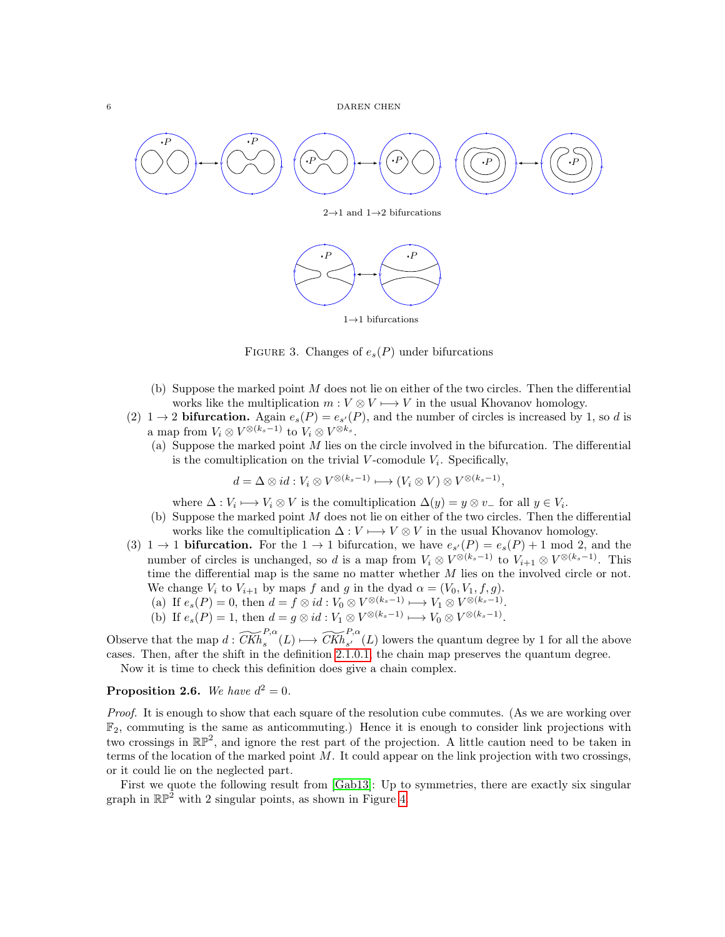

 $2\rightarrow1$  and  $1\rightarrow2$  bifurcations



<span id="page-5-0"></span> $1\rightarrow 1$  bifurcations

FIGURE 3. Changes of  $e_s(P)$  under bifurcations

- (b) Suppose the marked point  $M$  does not lie on either of the two circles. Then the differential works like the multiplication  $m: V \otimes V \longrightarrow V$  in the usual Khovanov homology.
- (2)  $1 \rightarrow 2$  **bifurcation.** Again  $e_s(P) = e_{s'}(P)$ , and the number of circles is increased by 1, so d is a map from  $V_i \otimes V^{\otimes (k_s-1)}$  to  $V_i \otimes V^{\otimes k_s}$ .
	- (a) Suppose the marked point  $M$  lies on the circle involved in the bifurcation. The differential is the comultiplication on the trivial  $V$ -comodule  $V_i$ . Specifically,

$$
d = \Delta \otimes id : V_i \otimes V^{\otimes (k_s - 1)} \longmapsto (V_i \otimes V) \otimes V^{\otimes (k_s - 1)},
$$

where  $\Delta: V_i \longmapsto V_i \otimes V$  is the comultiplication  $\Delta(y) = y \otimes v$  for all  $y \in V_i$ .

- (b) Suppose the marked point  $M$  does not lie on either of the two circles. Then the differential works like the comultiplication  $\Delta: V \longrightarrow V \otimes V$  in the usual Khovanov homology.
- (3)  $1 \rightarrow 1$  **bifurcation.** For the  $1 \rightarrow 1$  bifurcation, we have  $e_{s'}(P) = e_s(P) + 1 \mod 2$ , and the number of circles is unchanged, so d is a map from  $V_i \otimes V^{\otimes (k_s - 1)}$  to  $V_{i+1} \otimes V^{\otimes (k_s - 1)}$ . This time the differential map is the same no matter whether  $M$  lies on the involved circle or not. We change  $V_i$  to  $V_{i+1}$  by maps f and g in the dyad  $\alpha = (V_0, V_1, f, g)$ .
	- (a) If  $e_s(P) = 0$ , then  $d = f \otimes id : V_0 \otimes V^{\otimes (k_s 1)} \longrightarrow V_1 \otimes V^{\otimes (k_s 1)}$ .
	- (b) If  $e_s(P) = 1$ , then  $d = g \otimes id : V_1 \otimes V^{\otimes (k_s 1)} \longrightarrow V_0 \otimes V^{\otimes (k_s 1)}$ .

Observe that the map  $d: \widetilde{CKh}_{s}^{P,\alpha}(L) \longrightarrow \widetilde{CKh}_{s'}^{P,\alpha}(L)$  lowers the quantum degree by 1 for all the above cases. Then, after the shift in the definition [2](#page-3-1).1.0.1, the chain map preserves the quantum degree.

Now it is time to check this definition does give a chain complex.

## **Proposition 2.6.** We have  $d^2 = 0$ .

Proof. It is enough to show that each square of the resolution cube commutes. (As we are working over  $\mathbb{F}_2$ , commuting is the same as anticommuting.) Hence it is enough to consider link projections with two crossings in  $\mathbb{RP}^2$ , and ignore the rest part of the projection. A little caution need to be taken in terms of the location of the marked point  $M$ . It could appear on the link projection with two crossings, or it could lie on the neglected part.

First we quote the following result from [\[Gab13\]](#page-30-2): Up to symmetries, there are exactly six singular graph in  $\mathbb{RP}^2$  with 2 singular points, as shown in Figure [4](#page-6-0).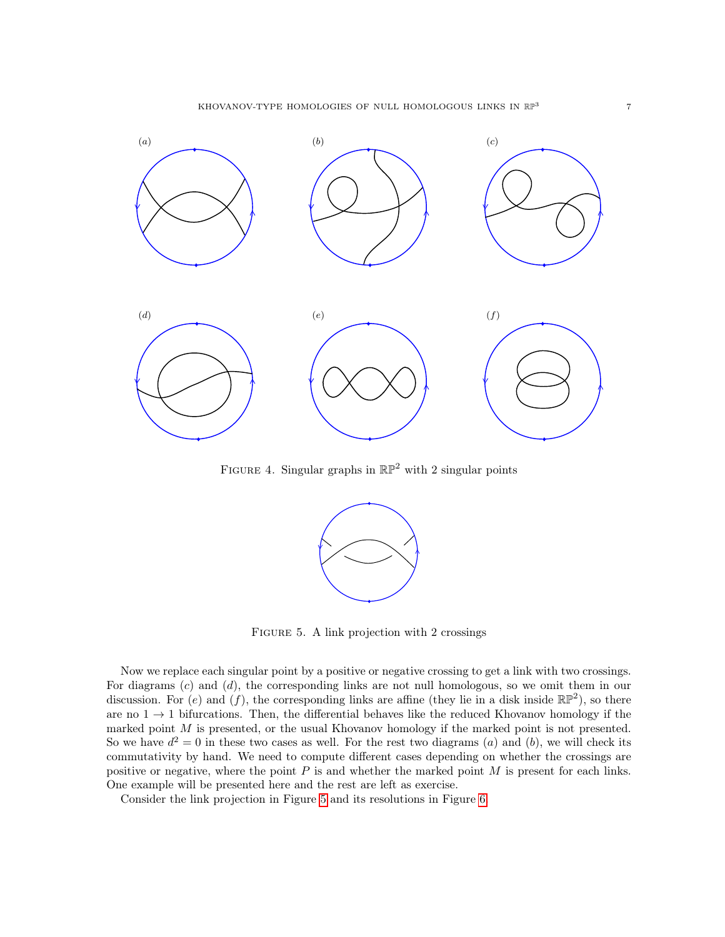

FIGURE 4. Singular graphs in  $\mathbb{RP}^2$  with 2 singular points

<span id="page-6-0"></span>

<span id="page-6-1"></span>Figure 5. A link projection with 2 crossings

Now we replace each singular point by a positive or negative crossing to get a link with two crossings. For diagrams  $(c)$  and  $(d)$ , the corresponding links are not null homologous, so we omit them in our discussion. For (e) and (f), the corresponding links are affine (they lie in a disk inside  $\mathbb{RP}^2$ ), so there are no  $1 \rightarrow 1$  bifurcations. Then, the differential behaves like the reduced Khovanov homology if the marked point  $M$  is presented, or the usual Khovanov homology if the marked point is not presented. So we have  $d^2 = 0$  in these two cases as well. For the rest two diagrams (a) and (b), we will check its commutativity by hand. We need to compute different cases depending on whether the crossings are positive or negative, where the point  $P$  is and whether the marked point  $M$  is present for each links. One example will be presented here and the rest are left as exercise.

Consider the link projection in Figure [5](#page-6-1) and its resolutions in Figure [6](#page-7-0).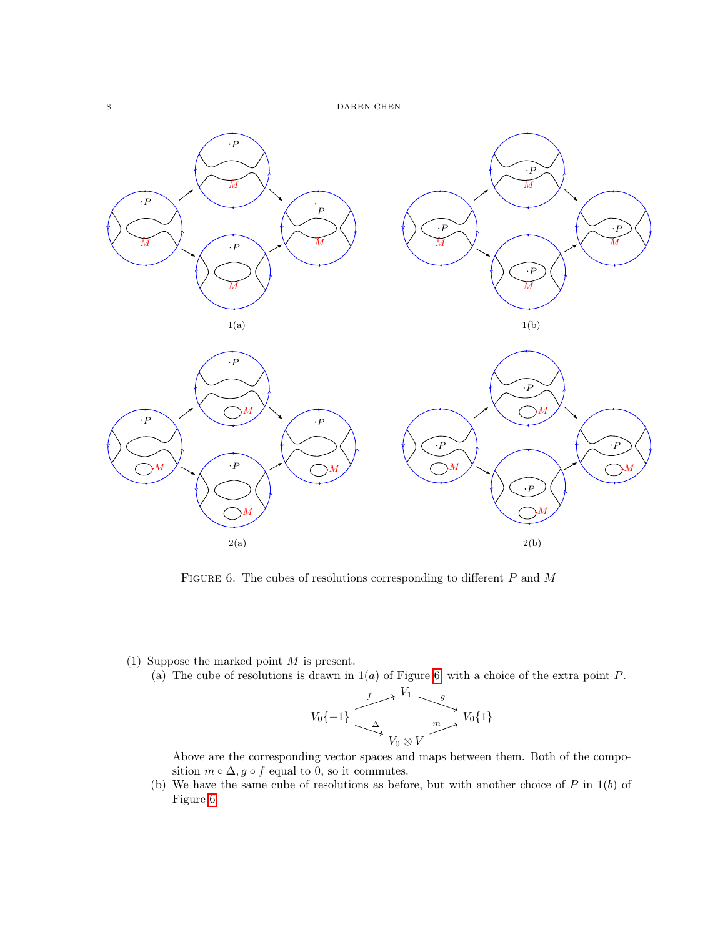

<span id="page-7-0"></span>FIGURE 6. The cubes of resolutions corresponding to different  $P$  and  $M$ 

#### (1) Suppose the marked point  $M$  is present.

(a) The cube of resolutions is drawn in  $1(a)$  of Figure [6,](#page-7-0) with a choice of the extra point P.

$$
V_0\{-1\} \xrightarrow{\begin{array}{c} f \longrightarrow V_1 \\ \searrow \\ V_0 \otimes V \end{array}} V_0\{1\}
$$

Above are the corresponding vector spaces and maps between them. Both of the composition  $m \circ \Delta$ ,  $g \circ f$  equal to 0, so it commutes.

(b) We have the same cube of resolutions as before, but with another choice of  $P$  in  $1(b)$  of Figure [6.](#page-7-0)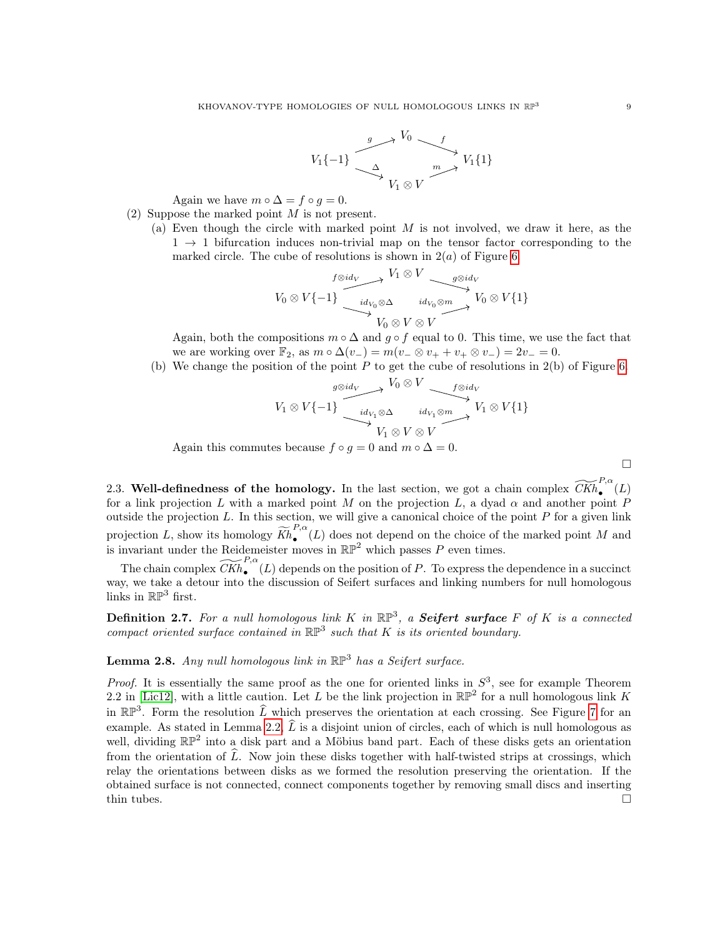

Again we have  $m \circ \Delta = f \circ g = 0$ .

- (2) Suppose the marked point  $M$  is not present.
	- (a) Even though the circle with marked point  $M$  is not involved, we draw it here, as the  $1 \rightarrow 1$  bifurcation induces non-trivial map on the tensor factor corresponding to the marked circle. The cube of resolutions is shown in  $2(a)$  of Figure [6.](#page-7-0)

$$
V_0 \otimes V\{-1\} \xrightarrow{\begin{array}{c} f \otimes id_V \\ id_{V_0} \otimes \Delta \end{array}} V_1 \otimes V \xrightarrow{\begin{array}{c} g \otimes id_V \\ id_{V_0} \otimes m \end{array}} V_0 \otimes V\{1\}
$$

Again, both the compositions  $m \circ \Delta$  and  $g \circ f$  equal to 0. This time, we use the fact that we are working over  $\mathbb{F}_2$ , as  $m \circ \Delta(v_-) = m(v_- \otimes v_+ + v_+ \otimes v_-) = 2v_- = 0$ .

(b) We change the position of the point  $P$  to get the cube of resolutions in 2(b) of Figure [6](#page-7-0).

$$
V_1 \otimes V \{-1\} \xrightarrow{id_{V_1} \otimes \Delta} V_0 \otimes V \xrightarrow{id_{V_1} \otimes m} V_1 \otimes V \{1\}
$$
  

$$
V_1 \otimes V \otimes V \xrightarrow{id_{V_1} \otimes N} V_1 \otimes V \{1\}
$$

Again this commutes because  $f \circ g = 0$  and  $m \circ \Delta = 0$ .

<span id="page-8-0"></span>2.3. Well-definedness of the homology. In the last section, we got a chain complex  $\widetilde{CKh}_{\bullet}^{P,\alpha}(L)$ for a link projection L with a marked point M on the projection L, a dyad  $\alpha$  and another point P outside the projection  $L$ . In this section, we will give a canonical choice of the point  $P$  for a given link projection L, show its homology  $\widetilde{Kh}_{\bullet}^{P,\alpha}$  $\bullet$  (L) does not depend on the choice of the marked point M and is invariant under the Reidemeister moves in  $\mathbb{RP}^2$  which passes P even times.

The chain complex  $\widetilde{CKh}_{\bullet}^{P,\alpha}(L)$  depends on the position of P. To express the dependence in a succinct way, we take a detour into the discussion of Seifert surfaces and linking numbers for null homologous links in  $\mathbb{RP}^3$  first.

**Definition 2.7.** For a null homologous link K in  $\mathbb{RP}^3$ , a **Seifert surface** F of K is a connected compact oriented surface contained in  $\mathbb{RP}^3$  such that K is its oriented boundary.

# **Lemma 2.8.** Any null homologous link in  $\mathbb{RP}^3$  has a Seifert surface.

*Proof.* It is essentially the same proof as the one for oriented links in  $S^3$ , see for example Theorem 2.2 in [\[Lic12\]](#page-30-3), with a little caution. Let L be the link projection in  $\mathbb{RP}^2$  for a null homologous link K in  $\mathbb{RP}^3$ . Form the resolution  $\widehat{L}$  which preserves the orientation at each crossing. See Figure [7](#page-9-0) for an example. As stated in Lemma [2](#page-2-2).2,  $\hat{L}$  is a disjoint union of circles, each of which is null homologous as well, dividing  $\mathbb{RP}^2$  into a disk part and a Möbius band part. Each of these disks gets an orientation from the orientation of  $\widehat{L}$ . Now join these disks together with half-twisted strips at crossings, which relay the orientations between disks as we formed the resolution preserving the orientation. If the obtained surface is not connected, connect components together by removing small discs and inserting thin tubes.  $\Box$ 

 $\Box$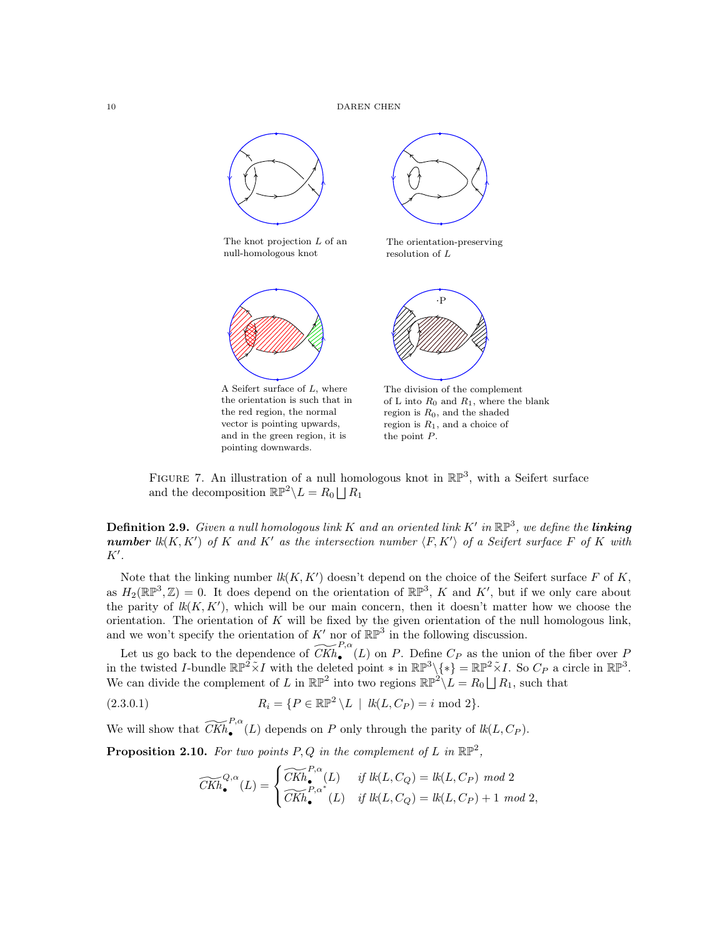

<span id="page-9-0"></span>FIGURE 7. An illustration of a null homologous knot in  $\mathbb{RP}^3$ , with a Seifert surface and the decomposition  $\mathbb{RP}^2 \backslash L = R_0 \bigsqcup R_1$ 

<span id="page-9-2"></span>**Definition 2.9.** Given a null homologous link K and an oriented link K' in  $\mathbb{RP}^3$ , we define the **linking** number  $lk(K, K')$  of K and K' as the intersection number  $\langle F, K' \rangle$  of a Seifert surface F of K with  $K'.$ 

Note that the linking number  $lk(K, K')$  doesn't depend on the choice of the Seifert surface F of K, as  $H_2(\mathbb{RP}^3, \mathbb{Z}) = 0$ . It does depend on the orientation of  $\mathbb{RP}^3$ , K and K', but if we only care about the parity of  $lk(K, K')$ , which will be our main concern, then it doesn't matter how we choose the orientation. The orientation of  $K$  will be fixed by the given orientation of the null homologous link, and we won't specify the orientation of  $K'$  nor of  $\mathbb{RP}^3$  in the following discussion.

Let us go back to the dependence of  $\widetilde{CKh}_{\bullet}^{P,\alpha}(L)$  on P. Define  $C_P$  as the union of the fiber over P in the twisted *I*-bundle  $\mathbb{RP}^2 \times I$  with the deleted point  $*$  in  $\mathbb{RP}^3 \setminus \{*\} = \mathbb{RP}^2 \times I$ . So  $C_P$  a circle in  $\mathbb{RP}^3$ . We can divide the complement of L in  $\mathbb{RP}^2$  into two regions  $\mathbb{RP}^2 \setminus L = R_0 \bigsqcup R_1$ , such that

(2.3.0.1) 
$$
R_i = \{ P \in \mathbb{RP}^2 \setminus L \mid \text{ } lk(L, C_P) = i \text{ mod } 2 \}.
$$

We will show that  $\widetilde{CKh}_{\bullet}^{P,\alpha}(L)$  depends on P only through the parity of  $lk(L, C_P)$ .

<span id="page-9-1"></span>**Proposition 2.10.** For two points P, Q in the complement of L in  $\mathbb{RP}^2$ ,

<span id="page-9-3"></span>
$$
\widetilde{CKh}_{\bullet}^{Q,\alpha}(L) = \begin{cases}\n\widetilde{CKh}_{\bullet}^{P,\alpha}(L) & \text{if } lk(L, C_Q) = lk(L, C_P) \text{ mod } 2 \\
\widetilde{CKh}_{\bullet}^{P,\alpha^*}(L) & \text{if } lk(L, C_Q) = lk(L, C_P) + 1 \text{ mod } 2,\n\end{cases}
$$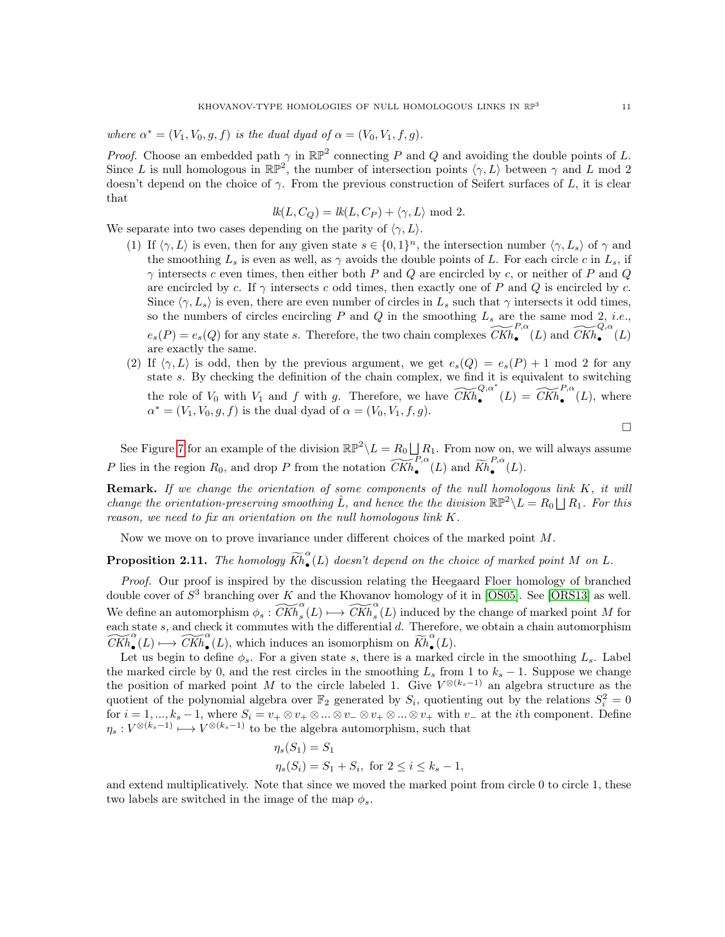where  $\alpha^* = (V_1, V_0, g, f)$  is the dual dyad of  $\alpha = (V_0, V_1, f, g)$ .

*Proof.* Choose an embedded path  $\gamma$  in  $\mathbb{RP}^2$  connecting P and Q and avoiding the double points of L. Since L is null homologous in  $\mathbb{RP}^2$ , the number of intersection points  $\langle \gamma, L \rangle$  between  $\gamma$  and L mod 2 doesn't depend on the choice of  $\gamma$ . From the previous construction of Seifert surfaces of L, it is clear that

$$
lk(L, CQ) = lk(L, CP) + \langle \gamma, L \rangle \text{ mod } 2.
$$

We separate into two cases depending on the parity of  $\langle \gamma, L \rangle$ .

- (1) If  $\langle \gamma, L \rangle$  is even, then for any given state  $s \in \{0, 1\}^n$ , the intersection number  $\langle \gamma, L_s \rangle$  of  $\gamma$  and the smoothing  $L_s$  is even as well, as  $\gamma$  avoids the double points of L. For each circle c in  $L_s$ , if  $\gamma$  intersects c even times, then either both P and Q are encircled by c, or neither of P and Q are encircled by c. If  $\gamma$  intersects c odd times, then exactly one of P and Q is encircled by c. Since  $\langle \gamma, L_s \rangle$  is even, there are even number of circles in  $L_s$  such that  $\gamma$  intersects it odd times, so the numbers of circles encircling  $P$  and  $Q$  in the smoothing  $L_s$  are the same mod 2, *i.e.*,  $e_s(P) = e_s(Q)$  for any state s. Therefore, the two chain complexes  $\widetilde{CKh}_{\bullet}^{P,\alpha}(L)$  and  $\widetilde{CKh}_{\bullet}^{Q,\alpha}(L)$ are exactly the same.
- (2) If  $\langle \gamma, L \rangle$  is odd, then by the previous argument, we get  $e_s(Q) = e_s(P) + 1 \mod 2$  for any state  $s$ . By checking the definition of the chain complex, we find it is equivalent to switching the role of  $V_0$  with  $V_1$  and  $f$  with  $g$ . Therefore, we have  $\widetilde{CKh}_{\bullet}^{Q,\alpha^*}(L) = \widetilde{CKh}_{\bullet}^{P,\alpha}(L)$ , where  $\alpha^* = (V_1, V_0, g, f)$  is the dual dyad of  $\alpha = (V_0, V_1, f, g)$ .

 $\Box$ 

See Figure [7](#page-9-0) for an example of the division  $\mathbb{RP}^2 \setminus L = R_0 \bigsqcup R_1$ . From now on, we will always assume P lies in the region  $R_0$ , and drop P from the notation  $\widetilde{CKh}_{\bullet}^{P,\alpha}(L)$  and  $\widetilde{Kh}_{\bullet}^{P,\alpha}$  $\bullet$ <sup>"</sup> $(L).$ 

**Remark.** If we change the orientation of some components of the null homologous link  $K$ , it will change the orientation-preserving smoothing  $\hat{L}$ , and hence the the division  $\mathbb{RP}^2 \setminus L = R_0 \bigsqcup R_1$ . For this reason, we need to fix an orientation on the null homologous link  $K$ .

Now we move on to prove invariance under different choices of the marked point  $M$ .

<span id="page-10-0"></span>**Proposition 2.11.** The homology  $\widetilde{Kh}_{\bullet}^{\alpha}$  $\tilde{\bullet}(L)$  doesn't depend on the choice of marked point M on L.

Proof. Our proof is inspired by the discussion relating the Heegaard Floer homology of branched double cover of  $S^3$  branching over K and the Khovanov homology of it in [\[OS05\]](#page-31-0). See [\[ORS13\]](#page-31-1) as well. We define an automorphism  $\phi_s : \widetilde{CKh}_s^{\alpha}(L) \longmapsto \widetilde{CKh}_s^{\alpha}(L)$  induced by the change of marked point M for each state  $s$ , and check it commutes with the differential  $d$ . Therefore, we obtain a chain automorphism  $\widetilde{CKh}_{\bullet}^{\alpha}(L) \longmapsto \widetilde{CKh}_{\bullet}^{\alpha}(L)$ , which induces an isomorphism on  $\widetilde{Kh}_{\bullet}^{\alpha}$  $\tilde{\bullet}(L).$ 

Let us begin to define  $\phi_s$ . For a given state s, there is a marked circle in the smoothing  $L_s$ . Label the marked circle by 0, and the rest circles in the smoothing  $L_s$  from 1 to  $k_s - 1$ . Suppose we change the position of marked point M to the circle labeled 1. Give  $V^{\otimes (k_s-1)}$  an algebra structure as the quotient of the polynomial algebra over  $\mathbb{F}_2$  generated by  $S_i$ , quotienting out by the relations  $S_i^2 = 0$ for  $i = 1, ..., k_s - 1$ , where  $S_i = v_+ \otimes v_+ \otimes ... \otimes v_- \otimes v_+ \otimes ... \otimes v_+$  with  $v_-$  at the *i*th component. Define  $\eta_s: V^{\otimes (k_s-1)} \longmapsto V^{\otimes (k_s-1)}$  to be the algebra automorphism, such that

$$
\eta_s(S_1) = S_1 \eta_s(S_i) = S_1 + S_i, \text{ for } 2 \le i \le k_s - 1,
$$

and extend multiplicatively. Note that since we moved the marked point from circle 0 to circle 1, these two labels are switched in the image of the map  $\phi_s$ .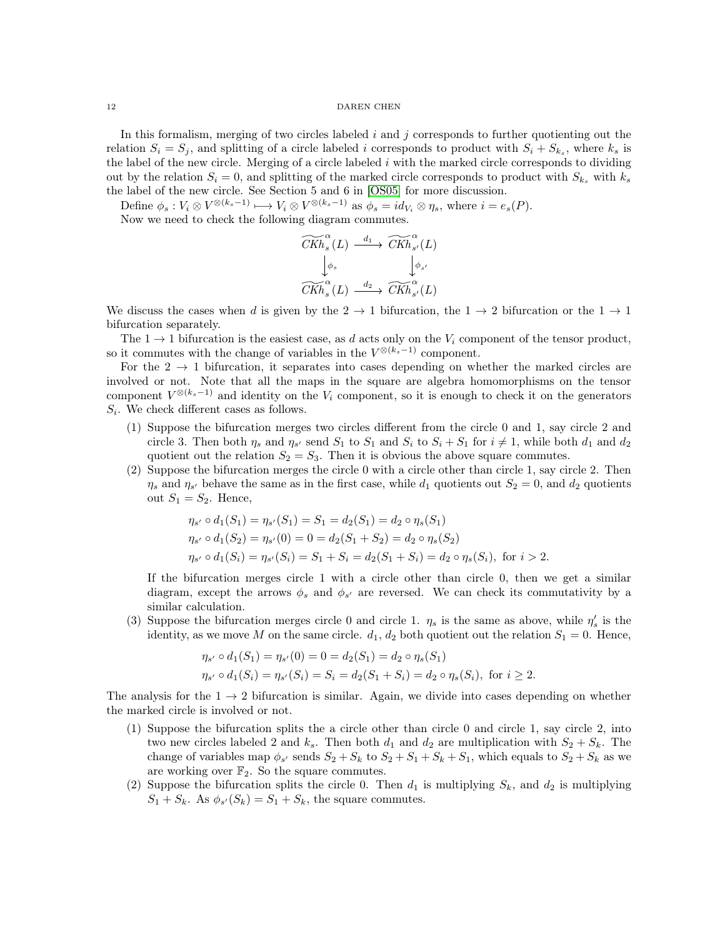In this formalism, merging of two circles labeled  $i$  and  $j$  corresponds to further quotienting out the relation  $S_i = S_j$ , and splitting of a circle labeled *i* corresponds to product with  $S_i + S_{k_s}$ , where  $k_s$  is the label of the new circle. Merging of a circle labeled  $i$  with the marked circle corresponds to dividing out by the relation  $S_i = 0$ , and splitting of the marked circle corresponds to product with  $S_{k_s}$  with  $k_s$ the label of the new circle. See Section 5 and 6 in [\[OS05\]](#page-31-0) for more discussion.

Define  $\phi_s: V_i \otimes V^{\otimes (k_s - 1)} \longrightarrow V_i \otimes V^{\otimes (k_s - 1)}$  as  $\phi_s = id_{V_i} \otimes \eta_s$ , where  $i = e_s(P)$ . Now we need to check the following diagram commutes.

$$
\begin{array}{ccc}\n\widetilde{CKh}_{s}^{\alpha}(L) & \xrightarrow{d_{1}} & \widetilde{CKh}_{s'}^{\alpha}(L) \\
\downarrow^{\phi_{s}} & & \downarrow^{\phi_{s'}} \\
\widetilde{CKh}_{s}^{\alpha}(L) & \xrightarrow{d_{2}} & \widetilde{CKh}_{s'}^{\alpha}(L)\n\end{array}
$$

We discuss the cases when d is given by the  $2 \to 1$  bifurcation, the  $1 \to 2$  bifurcation or the  $1 \to 1$ bifurcation separately.

The  $1 \rightarrow 1$  bifurcation is the easiest case, as d acts only on the  $V_i$  component of the tensor product, so it commutes with the change of variables in the  $V^{\otimes (k_s - 1)}$  component.

For the  $2 \rightarrow 1$  bifurcation, it separates into cases depending on whether the marked circles are involved or not. Note that all the maps in the square are algebra homomorphisms on the tensor component  $V^{\otimes (k_s-1)}$  and identity on the  $V_i$  component, so it is enough to check it on the generators  $S_i$ . We check different cases as follows.

- (1) Suppose the bifurcation merges two circles different from the circle 0 and 1, say circle 2 and circle 3. Then both  $\eta_s$  and  $\eta_{s'}$  send  $S_1$  to  $S_1$  and  $S_i$  to  $S_i + S_1$  for  $i \neq 1$ , while both  $d_1$  and  $d_2$ quotient out the relation  $S_2 = S_3$ . Then it is obvious the above square commutes.
- (2) Suppose the bifurcation merges the circle 0 with a circle other than circle 1, say circle 2. Then  $\eta_s$  and  $\eta_{s'}$  behave the same as in the first case, while  $d_1$  quotients out  $S_2 = 0$ , and  $d_2$  quotients out  $S_1 = S_2$ . Hence,

$$
\eta_{s'} \circ d_1(S_1) = \eta_{s'}(S_1) = S_1 = d_2(S_1) = d_2 \circ \eta_s(S_1)
$$
  
\n
$$
\eta_{s'} \circ d_1(S_2) = \eta_{s'}(0) = 0 = d_2(S_1 + S_2) = d_2 \circ \eta_s(S_2)
$$
  
\n
$$
\eta_{s'} \circ d_1(S_i) = \eta_{s'}(S_i) = S_1 + S_i = d_2(S_1 + S_i) = d_2 \circ \eta_s(S_i), \text{ for } i > 2.
$$

If the bifurcation merges circle 1 with a circle other than circle 0, then we get a similar diagram, except the arrows  $\phi_s$  and  $\phi_{s'}$  are reversed. We can check its commutativity by a similar calculation.

(3) Suppose the bifurcation merges circle 0 and circle 1.  $\eta_s$  is the same as above, while  $\eta'_s$  is the identity, as we move M on the same circle.  $d_1, d_2$  both quotient out the relation  $S_1 = 0$ . Hence,

$$
\eta_{s'} \circ d_1(S_1) = \eta_{s'}(0) = 0 = d_2(S_1) = d_2 \circ \eta_s(S_1)
$$
  

$$
\eta_{s'} \circ d_1(S_i) = \eta_{s'}(S_i) = S_i = d_2(S_1 + S_i) = d_2 \circ \eta_s(S_i), \text{ for } i \ge 2.
$$

The analysis for the  $1 \rightarrow 2$  bifurcation is similar. Again, we divide into cases depending on whether the marked circle is involved or not.

- (1) Suppose the bifurcation splits the a circle other than circle 0 and circle 1, say circle 2, into two new circles labeled 2 and  $k_s$ . Then both  $d_1$  and  $d_2$  are multiplication with  $S_2 + S_k$ . The change of variables map  $\phi_{s'}$  sends  $S_2 + S_k$  to  $S_2 + S_1 + S_k + S_1$ , which equals to  $S_2 + S_k$  as we are working over  $\mathbb{F}_2$ . So the square commutes.
- (2) Suppose the bifurcation splits the circle 0. Then  $d_1$  is multiplying  $S_k$ , and  $d_2$  is multiplying  $S_1 + S_k$ . As  $\phi_{s'}(S_k) = S_1 + S_k$ , the square commutes.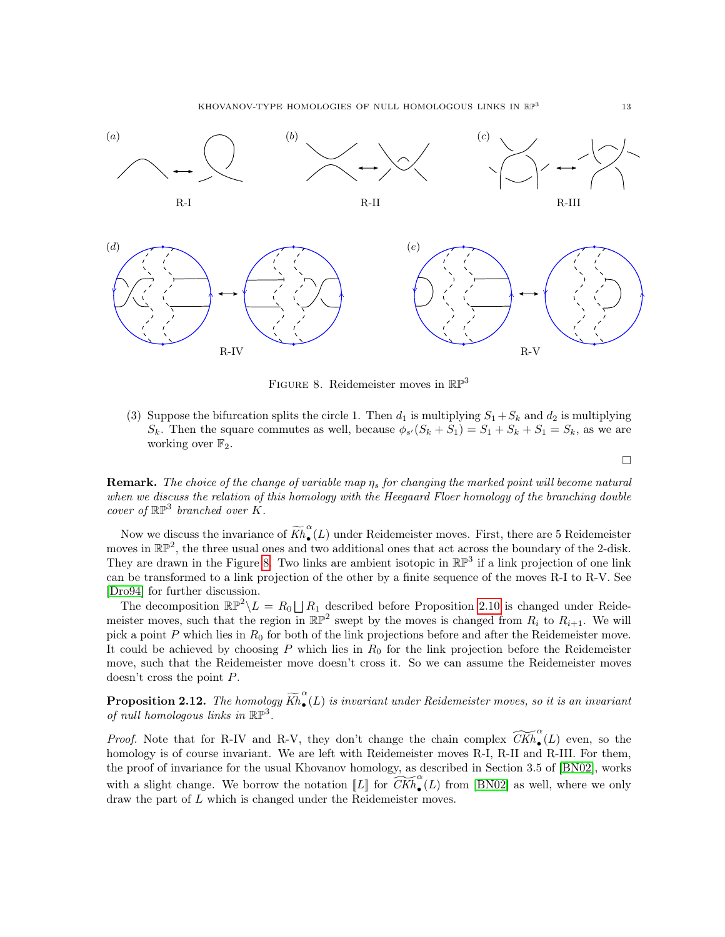KHOVANOV-TYPE HOMOLOGIES OF NULL HOMOLOGOUS LINKS IN RP<sup>3</sup>



<span id="page-12-0"></span>FIGURE 8. Reidemeister moves in  $\mathbb{RP}^3$ 

(3) Suppose the bifurcation splits the circle 1. Then  $d_1$  is multiplying  $S_1 + S_k$  and  $d_2$  is multiplying  $S_k$ . Then the square commutes as well, because  $\phi_{s'}(S_k + S_1) = S_1 + S_k + S_1 = S_k$ , as we are working over  $\mathbb{F}_2$ .

 $\Box$ 

**Remark.** The choice of the change of variable map  $\eta_s$  for changing the marked point will become natural when we discuss the relation of this homology with the Heegaard Floer homology of the branching double cover of  $\mathbb{RP}^3$  branched over  $K$ .

Now we discuss the invariance of  $\widetilde{Kh}_{\bullet}^{\alpha}$  $\sqrt{\bullet}(L)$  under Reidemeister moves. First, there are 5 Reidemeister moves in  $\mathbb{RP}^2$ , the three usual ones and two additional ones that act across the boundary of the 2-disk. They are drawn in the Figure [8](#page-12-0). Two links are ambient isotopic in  $\mathbb{RP}^3$  if a link projection of one link can be transformed to a link projection of the other by a finite sequence of the moves R-I to R-V. See [\[Dro94\]](#page-30-4) for further discussion.

The decomposition  $\mathbb{RP}^2 \setminus L = R_0 \bigsqcup R_1$  described before Proposition 2.[10](#page-9-1) is changed under Reidemeister moves, such that the region in  $\mathbb{RP}^2$  swept by the moves is changed from  $R_i$  to  $R_{i+1}$ . We will pick a point  $P$  which lies in  $R_0$  for both of the link projections before and after the Reidemeister move. It could be achieved by choosing  $P$  which lies in  $R_0$  for the link projection before the Reidemeister move, such that the Reidemeister move doesn't cross it. So we can assume the Reidemeister moves doesn't cross the point  $P$ .

**Proposition 2.12.** The homology  $\widetilde{Kh}_{\bullet}^{\alpha}$  $\tilde{\bullet}(L)$  is invariant under Reidemeister moves, so it is an invariant of null homologous links in  $\mathbb{RP}^3$ .

*Proof.* Note that for R-IV and R-V, they don't change the chain complex  $\widetilde{CKh}_{\bullet}^{\alpha}(L)$  even, so the homology is of course invariant. We are left with Reidemeister moves R-I, R-II and R-III. For them, the proof of invariance for the usual Khovanov homology, as described in Section 3.5 of [\[BN02\]](#page-30-5), works with a slight change. We borrow the notation  $[[L]]$  for  $\widetilde{CKh}_{\bullet}^{\alpha}(L)$  from [\[BN02\]](#page-30-5) as well, where we only draw the part of  $L$  which is changed under the Reidemeister moves.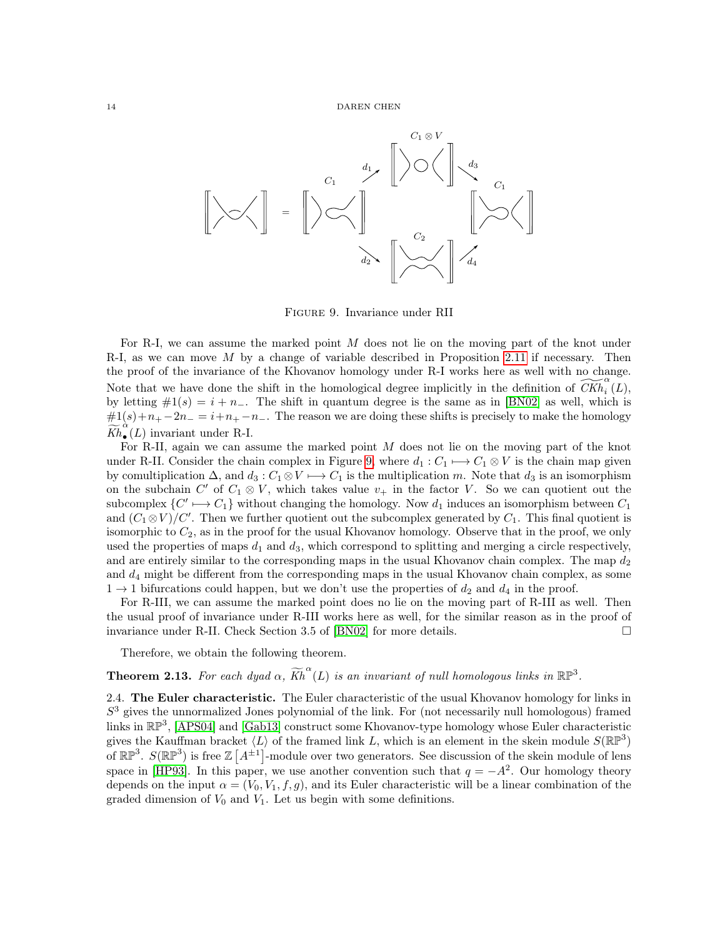

<span id="page-13-1"></span>Figure 9. Invariance under RII

For R-I, we can assume the marked point  $M$  does not lie on the moving part of the knot under R-I, as we can move  $M$  by a change of variable described in Proposition 2.[11](#page-10-0) if necessary. Then the proof of the invariance of the Khovanov homology under R-I works here as well with no change. Note that we have done the shift in the homological degree implicitly in the definition of  $\widetilde{CKh}_i^{\alpha}(\tilde{L}),$ by letting  $\#1(s) = i + n_$ . The shift in quantum degree is the same as in [\[BN02\]](#page-30-5) as well, which is  $#1(s) + n_+ - 2n_- = i + n_+ - n_-$ . The reason we are doing these shifts is precisely to make the homology  $\widetilde{Kh}_{\bullet}^{\overset{\cdot\cdot}{\alpha}}$  $\tilde{\bullet}(L)$  invariant under R-I.

For R-II, again we can assume the marked point  $M$  does not lie on the moving part of the knot under R-II. Consider the chain complex in Figure [9](#page-13-1), where  $d_1 : C_1 \longrightarrow C_1 \otimes V$  is the chain map given by comultiplication  $\Delta$ , and  $d_3: C_1 \otimes V \longrightarrow C_1$  is the multiplication m. Note that  $d_3$  is an isomorphism on the subchain C' of  $C_1 \otimes V$ , which takes value  $v_+$  in the factor V. So we can quotient out the subcomplex  $\{C' \longmapsto C_1\}$  without changing the homology. Now  $d_1$  induces an isomorphism between  $C_1$ and  $(C_1 \otimes V)/C'$ . Then we further quotient out the subcomplex generated by  $C_1$ . This final quotient is isomorphic to  $C_2$ , as in the proof for the usual Khovanov homology. Observe that in the proof, we only used the properties of maps  $d_1$  and  $d_3$ , which correspond to splitting and merging a circle respectively, and are entirely similar to the corresponding maps in the usual Khovanov chain complex. The map  $d_2$ and  $d_4$  might be different from the corresponding maps in the usual Khovanov chain complex, as some  $1 \rightarrow 1$  bifurcations could happen, but we don't use the properties of  $d_2$  and  $d_4$  in the proof.

For R-III, we can assume the marked point does no lie on the moving part of R-III as well. Then the usual proof of invariance under R-III works here as well, for the similar reason as in the proof of invariance under R-II. Check Section 3.5 of [\[BN02\]](#page-30-5) for more details.

Therefore, we obtain the following theorem.

# **Theorem 2.13.** For each dyad  $\alpha$ ,  $\widetilde{Kh}^{\alpha}(L)$  is an invariant of null homologous links in  $\mathbb{RP}^3$ .

<span id="page-13-0"></span>2.4. The Euler characteristic. The Euler characteristic of the usual Khovanov homology for links in  $S<sup>3</sup>$  gives the unnormalized Jones polynomial of the link. For (not necessarily null homologous) framed links in  $\mathbb{RP}^3$ , [\[APS04\]](#page-30-0) and [\[Gab13\]](#page-30-2) construct some Khovanov-type homology whose Euler characteristic gives the Kauffman bracket  $\langle L \rangle$  of the framed link L, which is an element in the skein module  $S(\mathbb{RP}^3)$ of  $\mathbb{RP}^3$ .  $S(\mathbb{RP}^3)$  is free  $\mathbb{Z}[A^{\pm 1}]$ -module over two generators. See discussion of the skein module of lens space in [\[HP93\]](#page-30-6). In this paper, we use another convention such that  $q = -A^2$ . Our homology theory depends on the input  $\alpha = (V_0, V_1, f, g)$ , and its Euler characteristic will be a linear combination of the graded dimension of  $V_0$  and  $V_1$ . Let us begin with some definitions.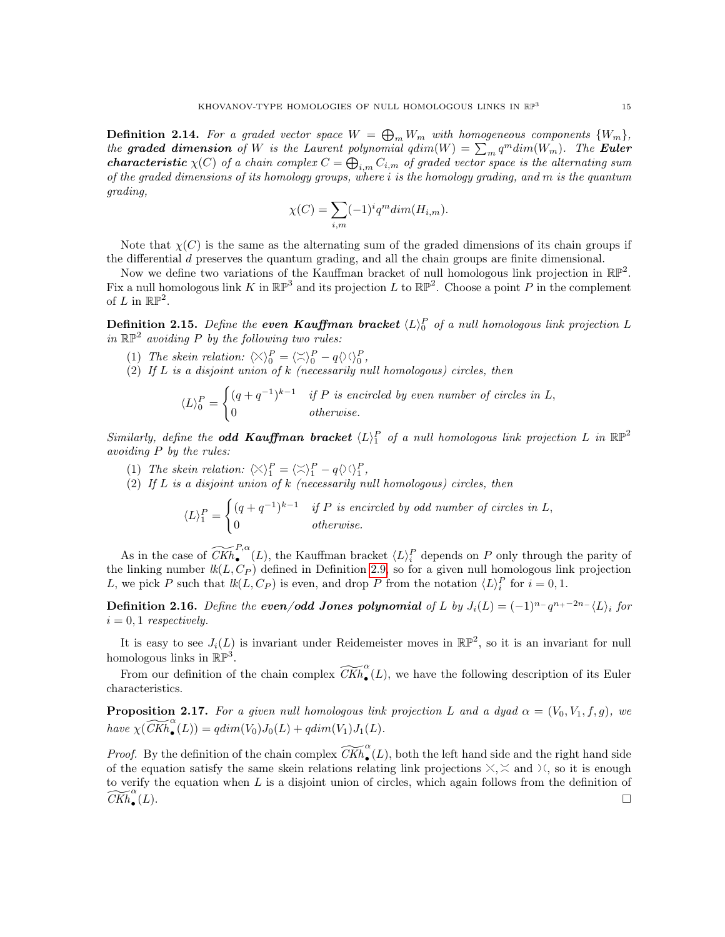**Definition 2.14.** For a graded vector space  $W = \bigoplus_m W_m$  with homogeneous components  $\{W_m\}$ , the graded dimension of W is the Laurent polynomial  $qdim(W) = \sum_m q^m dim(W_m)$ . The Euler **characteristic**  $\chi(C)$  of a chain complex  $C = \bigoplus_{i,m} C_{i,m}$  of graded vector space is the alternating sum of the graded dimensions of its homology groups, where  $i$  is the homology grading, and  $m$  is the quantum grading,

$$
\chi(C) = \sum_{i,m} (-1)^i q^m \dim(H_{i,m}).
$$

Note that  $\chi(C)$  is the same as the alternating sum of the graded dimensions of its chain groups if the differential  $d$  preserves the quantum grading, and all the chain groups are finite dimensional.

Now we define two variations of the Kauffman bracket of null homologous link projection in  $\mathbb{RP}^2$ . Fix a null homologous link K in  $\mathbb{RP}^3$  and its projection L to  $\mathbb{RP}^2$ . Choose a point P in the complement of L in  $\mathbb{RP}^2$ .

**Definition 2.15.** Define the **even Kauffman bracket**  $\langle L \rangle^P_0$  of a null homologous link projection L in  $\mathbb{RP}^2$  avoiding P by the following two rules:

- (1) The skein relation:  $\langle \times \rangle_0^P = \langle \times \rangle_0^P q \langle \times \rangle_0^P$ ,
- (2) If  $L$  is a disjoint union of  $k$  (necessarily null homologous) circles, then

$$
\langle L \rangle_0^P = \begin{cases} (q+q^{-1})^{k-1} & \text{if } P \text{ is encircled by even number of circles in } L, \\ 0 & \text{otherwise.} \end{cases}
$$

Similarly, define the **odd Kauffman bracket**  $\langle L \rangle_1^P$  of a null homologous link projection L in  $\mathbb{RP}^2$ avoiding  $P$  by the rules:

- (1) The skein relation:  $\langle \times \rangle_1^P = \langle \times \rangle_1^P q \langle \times \rangle_1^P$ ,
- (2) If  $L$  is a disjoint union of  $k$  (necessarily null homologous) circles, then

$$
\langle L \rangle_1^P = \begin{cases} (q+q^{-1})^{k-1} & \text{if } P \text{ is encircled by odd number of circles in } L, \\ 0 & \text{otherwise.} \end{cases}
$$

As in the case of  $\widetilde{CKh}_{\bullet}^{P,\alpha}(L)$ , the Kauffman bracket  $\langle L \rangle_i^P$  depends on P only through the parity of the linking number  $lk(L, C_P)$  defined in Definition [2.9,](#page-9-2) so for a given null homologous link projection L, we pick P such that  $lk(L, C_P)$  is even, and drop P from the notation  $\langle L \rangle_i^P$  for  $i = 0, 1$ .

**Definition 2.16.** Define the **even/odd Jones polynomial** of L by  $J_i(L) = (-1)^{n-1}q^{n+2n-1} \langle L \rangle_i$  for  $i = 0, 1$  respectively.

It is easy to see  $J_i(L)$  is invariant under Reidemeister moves in  $\mathbb{RP}^2$ , so it is an invariant for null homologous links in  $\mathbb{RP}^3$ .

From our definition of the chain complex  $\widetilde{CKh}_{\bullet}^{\alpha}(L)$ , we have the following description of its Euler characteristics.

**Proposition 2.17.** For a given null homologous link projection L and a dyad  $\alpha = (V_0, V_1, f, g)$ , we have  $\chi(\widetilde{CKh}_{\bullet}^{\alpha}(L)) = qdim(V_0)J_0(L) + qdim(V_1)J_1(L).$ 

*Proof.* By the definition of the chain complex  $\widetilde{CKh}_{\bullet}^{\alpha}(L)$ , both the left hand side and the right hand side of the equation satisfy the same skein relations relating link projections  $X, \leq$  and  $\forall$ , so it is enough to verify the equation when  $L$  is a disjoint union of circles, which again follows from the definition of  $\widetilde{\mathit{CKh}}_{\bullet}^{\alpha}$  $(L).$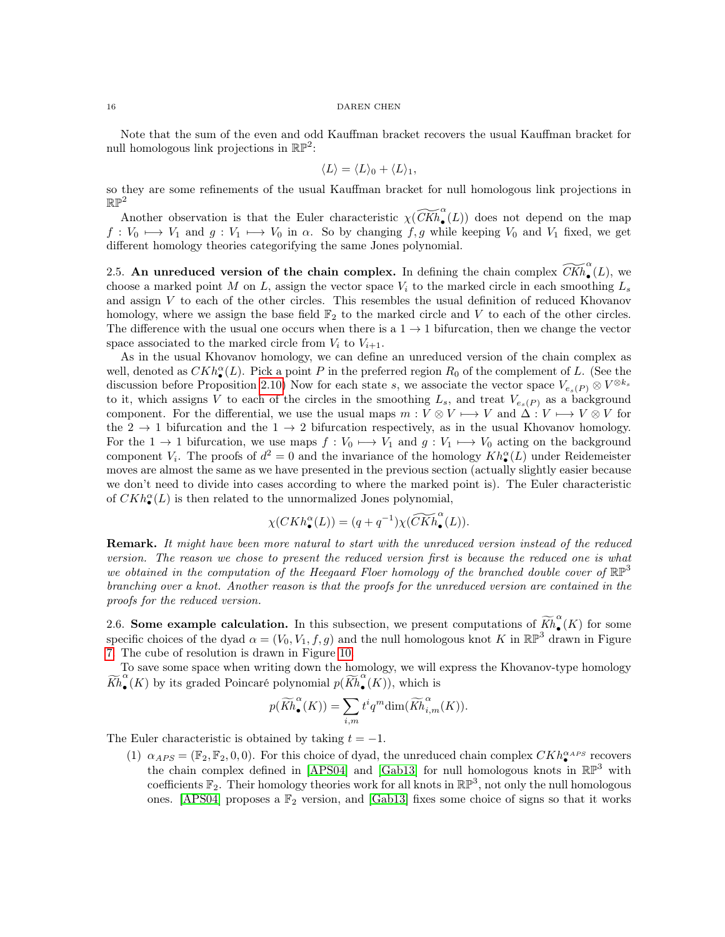Note that the sum of the even and odd Kauffman bracket recovers the usual Kauffman bracket for null homologous link projections in  $\mathbb{RP}^2$ :

$$
\langle L \rangle = \langle L \rangle_0 + \langle L \rangle_1,
$$

so they are some refinements of the usual Kauffman bracket for null homologous link projections in  $\mathbb{RP}^2$ 

Another observation is that the Euler characteristic  $\chi(\widetilde{CKh}_{\bullet}^{\alpha}(L))$  does not depend on the map  $f: V_0 \mapsto V_1$  and  $g: V_1 \mapsto V_0$  in  $\alpha$ . So by changing  $f, g$  while keeping  $V_0$  and  $V_1$  fixed, we get different homology theories categorifying the same Jones polynomial.

<span id="page-15-0"></span>2.5. An unreduced version of the chain complex. In defining the chain complex  $\widetilde{CKh}_{\bullet}^{\alpha}(L)$ , we choose a marked point M on L, assign the vector space  $V_i$  to the marked circle in each smoothing  $L_s$ and assign  $V$  to each of the other circles. This resembles the usual definition of reduced Khovanov homology, where we assign the base field  $\mathbb{F}_2$  to the marked circle and V to each of the other circles. The difference with the usual one occurs when there is a  $1 \rightarrow 1$  bifurcation, then we change the vector space associated to the marked circle from  $V_i$  to  $V_{i+1}$ .

As in the usual Khovanov homology, we can define an unreduced version of the chain complex as well, denoted as  $CKh_{\bullet}^{\alpha}(L)$ . Pick a point P in the preferred region  $R_0$  of the complement of L. (See the discussion before Proposition 2.[10](#page-9-1)) Now for each state s, we associate the vector space  $V_{e_s(P)} \otimes V^{\otimes k_s}$ to it, which assigns V to each of the circles in the smoothing  $L_s$ , and treat  $V_{e_s(P)}$  as a background component. For the differential, we use the usual maps  $m: V \otimes V \longrightarrow V$  and  $\Delta : V \longmapsto V \otimes V$  for the  $2 \rightarrow 1$  bifurcation and the  $1 \rightarrow 2$  bifurcation respectively, as in the usual Khovanov homology. For the 1  $\rightarrow$  1 bifurcation, we use maps  $f: V_0 \mapsto V_1$  and  $g: V_1 \mapsto V_0$  acting on the background component  $V_i$ . The proofs of  $d^2 = 0$  and the invariance of the homology  $Kh_{\bullet}^{\alpha}(L)$  under Reidemeister moves are almost the same as we have presented in the previous section (actually slightly easier because we don't need to divide into cases according to where the marked point is). The Euler characteristic of  $CKh_{\bullet}^{\alpha}(L)$  is then related to the unnormalized Jones polynomial,

$$
\chi(CKh_{\bullet}^{\alpha}(L)) = (q + q^{-1})\chi(\widetilde{CKh}_{\bullet}^{\alpha}(L)).
$$

**Remark.** It might have been more natural to start with the unreduced version instead of the reduced version. The reason we chose to present the reduced version first is because the reduced one is what we obtained in the computation of the Heegaard Floer homology of the branched double cover of  $\mathbb{RP}^3$ branching over a knot. Another reason is that the proofs for the unreduced version are contained in the proofs for the reduced version.

<span id="page-15-1"></span>2.6. Some example calculation. In this subsection, we present computations of  $\widetilde{Kh}_{\bullet}^{\alpha}$ •  $(K)$  for some specific choices of the dyad  $\alpha = (V_0, V_1, f, g)$  and the null homologous knot K in  $\mathbb{RP}^3$  drawn in Figure [7](#page-9-0). The cube of resolution is drawn in Figure [10](#page-16-0).

To save some space when writing down the homology, we will express the Khovanov-type homology  $\widetilde{Kh}^{\alpha}_{\bullet}$  $\alpha$ <sup>o</sup>(*K*) by its graded Poincaré polynomial  $p(\widetilde{Kh}_{\bullet}^{\alpha})$ •  $(K)$ , which is

$$
p(\widetilde{Kh}_{\bullet}^{\alpha}(K)) = \sum_{i,m} t^i q^m \dim(\widetilde{Kh}_{i,m}^{\alpha}(K)).
$$

The Euler characteristic is obtained by taking  $t = -1$ .

(1)  $\alpha_{APS} = (\mathbb{F}_2, \mathbb{F}_2, 0, 0)$ . For this choice of dyad, the unreduced chain complex  $CKh_{\bullet}^{\alpha_{APS}}$  recovers the chain complex defined in [\[APS04\]](#page-30-0) and [\[Gab13\]](#page-30-2) for null homologous knots in  $\mathbb{RP}^3$  with coefficients  $\mathbb{F}_2$ . Their homology theories work for all knots in  $\mathbb{RP}^3$ , not only the null homologous ones. [\[APS04\]](#page-30-0) proposes a  $\mathbb{F}_2$  version, and [\[Gab13\]](#page-30-2) fixes some choice of signs so that it works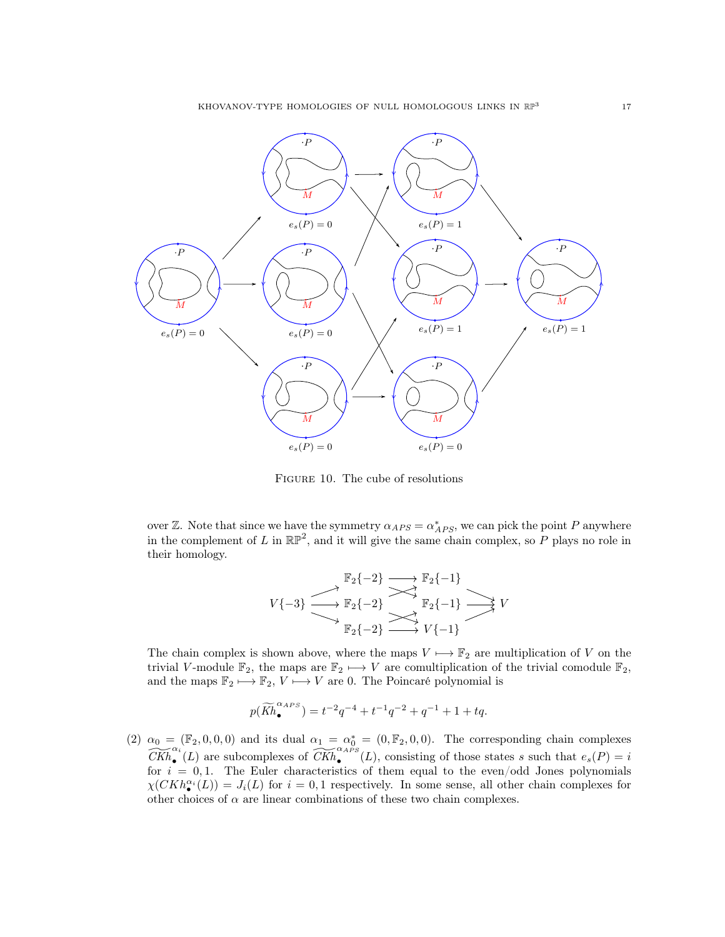

<span id="page-16-0"></span>Figure 10. The cube of resolutions

over Z. Note that since we have the symmetry  $\alpha_{APS} = \alpha^*_{APS}$ , we can pick the point P anywhere in the complement of L in  $\mathbb{RP}^2$ , and it will give the same chain complex, so P plays no role in their homology.

$$
V\{-3\} \xrightarrow{\mathbb{F}_2\{-2\}} \xrightarrow{\longrightarrow} \mathbb{F}_2\{-1\}} V
$$
  

$$
\xrightarrow{\mathbb{F}_2\{-2\}} \xrightarrow{\longrightarrow} \mathbb{F}_2\{-1\}} V
$$
  

$$
\xrightarrow{\mathbb{F}_2\{-2\}} \xrightarrow{\longrightarrow} V\{-1\}} V
$$

The chain complex is shown above, where the maps  $V \mapsto \mathbb{F}_2$  are multiplication of V on the trivial V-module  $\mathbb{F}_2$ , the maps are  $\mathbb{F}_2 \mapsto V$  are comultiplication of the trivial comodule  $\mathbb{F}_2$ , and the maps  $\mathbb{F}_2 \longmapsto \mathbb{F}_2$ ,  $V \longmapsto V$  are 0. The Poincaré polynomial is

$$
p(\widetilde{Kh}_{\bullet}^{\alpha_{APS}}) = t^{-2}q^{-4} + t^{-1}q^{-2} + q^{-1} + 1 + tq.
$$

(2)  $\alpha_0 = (\mathbb{F}_2, 0, 0, 0)$  and its dual  $\alpha_1 = \alpha_0^* = (0, \mathbb{F}_2, 0, 0)$ . The corresponding chain complexes  $\widetilde{CKh}_{\bullet}^{\alpha_i}(L)$  are subcomplexes of  $\widetilde{CKh}_{\bullet}^{\alpha_A PS}(L)$ , consisting of those states s such that  $e_s(P) = i$ for  $i = 0, 1$ . The Euler characteristics of them equal to the even/odd Jones polynomials  $\chi(CKh_{\bullet}^{\alpha_i}(L)) = J_i(L)$  for  $i = 0, 1$  respectively. In some sense, all other chain complexes for other choices of  $\alpha$  are linear combinations of these two chain complexes.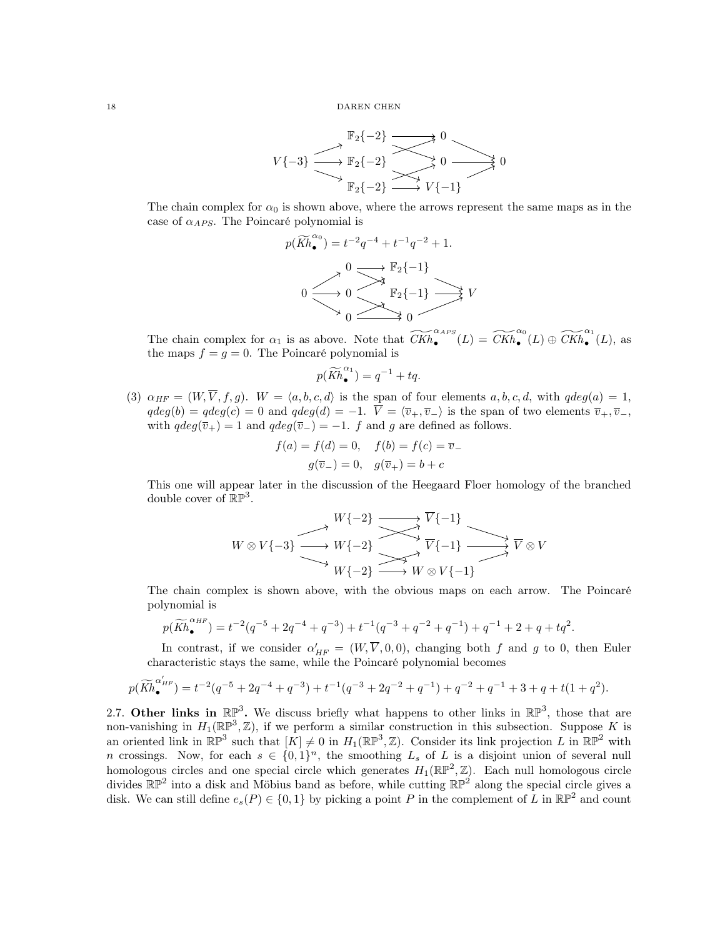$$
V\{-3\} \xrightarrow{\mathbb{F}_2\{-2\}} \xrightarrow{\mathbb{F}_2\{-2\}} \xrightarrow{\longrightarrow} 0 \xrightarrow{\longrightarrow} 0
$$
  

$$
\xrightarrow{\mathbb{F}_2\{-2\}} \xrightarrow{\longrightarrow} V\{-1\}
$$

The chain complex for  $\alpha_0$  is shown above, where the arrows represent the same maps as in the case of  $\alpha_{APS}$ . The Poincaré polynomial is

$$
p(\widetilde{Kh}_{\bullet}^{\alpha_0}) = t^{-2}q^{-4} + t^{-1}q^{-2} + 1.
$$
  

$$
0 \longrightarrow 0 \longrightarrow \mathbb{F}_2\{-1\}
$$
  

$$
0 \longrightarrow 0 \longrightarrow \mathbb{F}_2\{-1\} \longrightarrow V
$$
  

$$
0 \longrightarrow 0 \longrightarrow 0
$$

The chain complex for  $\alpha_1$  is as above. Note that  $\widetilde{CKh}_{\bullet}^{\alpha_A_{PS}}(L) = \widetilde{CKh}_{\bullet}^{\alpha_0}(L) \oplus \widetilde{CKh}_{\bullet}^{\alpha_1}(L)$ , as the maps  $f = g = 0$ . The Poincaré polynomial is

$$
p(\widetilde{Kh}_{\bullet}^{\alpha_1}) = q^{-1} + tq.
$$

<span id="page-17-1"></span>(3)  $\alpha_{HF} = (W, \overline{V}, f, g)$ .  $W = \langle a, b, c, d \rangle$  is the span of four elements  $a, b, c, d$ , with  $qdeg(a) = 1$ ,  $qdeg(b) = qdeg(c) = 0$  and  $qdeg(d) = -1$ .  $\overline{V} = \langle \overline{v}_+, \overline{v}_-\rangle$  is the span of two elements  $\overline{v}_+, \overline{v}_-,$ with  $qdeg(\overline{v}_+) = 1$  and  $qdeg(\overline{v}_-) = -1$ . *f* and *g* are defined as follows.

$$
f(a) = f(d) = 0
$$
,  $f(b) = f(c) = \overline{v}$ .  
 $g(\overline{v}) = 0$ ,  $g(\overline{v}) = 0 + c$ 

This one will appear later in the discussion of the Heegaard Floer homology of the branched double cover of  $\mathbb{RP}^3$ .

$$
W \otimes V\{-3\}
$$
  
\n
$$
W \otimes V\{-3\}
$$
  
\n
$$
W\{-2\}
$$
  
\n
$$
W\{-2\}
$$
  
\n
$$
W\{-1\}
$$
  
\n
$$
\overline{V}\{-1\}
$$
  
\n
$$
\overline{V}\{-1\}
$$
  
\n
$$
\overline{V} \otimes V
$$
  
\n
$$
W\{-2\}
$$
  
\n
$$
W\otimes V\{-1\}
$$
  
\n
$$
W\otimes V\{-1\}
$$

The chain complex is shown above, with the obvious maps on each arrow. The Poincaré polynomial is

$$
p(\widetilde{Kh}_{\bullet}^{\alpha_{HF}}) = t^{-2}(q^{-5} + 2q^{-4} + q^{-3}) + t^{-1}(q^{-3} + q^{-2} + q^{-1}) + q^{-1} + 2 + q + tq^2.
$$

In contrast, if we consider  $\alpha'_{HF} = (W, \overline{V}, 0, 0)$ , changing both f and g to 0, then Euler characteristic stays the same, while the Poincaré polynomial becomes

$$
p(\widetilde{Kh}_{\bullet}^{\alpha'_{HF}}) = t^{-2}(q^{-5} + 2q^{-4} + q^{-3}) + t^{-1}(q^{-3} + 2q^{-2} + q^{-1}) + q^{-2} + q^{-1} + 3 + q + t(1+q^{2}).
$$

<span id="page-17-0"></span>2.7. Other links in  $\mathbb{RP}^3$ . We discuss briefly what happens to other links in  $\mathbb{RP}^3$ , those that are non-vanishing in  $H_1(\mathbb{RP}^3, \mathbb{Z})$ , if we perform a similar construction in this subsection. Suppose K is an oriented link in  $\mathbb{RP}^3$  such that  $[K] \neq 0$  in  $H_1(\mathbb{RP}^3, \mathbb{Z})$ . Consider its link projection L in  $\mathbb{RP}^2$  with n crossings. Now, for each  $s \in \{0,1\}^n$ , the smoothing  $L_s$  of L is a disjoint union of several null homologous circles and one special circle which generates  $H_1(\mathbb{RP}^2, \mathbb{Z})$ . Each null homologous circle divides  $\mathbb{RP}^2$  into a disk and Möbius band as before, while cutting  $\mathbb{RP}^2$  along the special circle gives a disk. We can still define  $e_s(P) \in \{0,1\}$  by picking a point P in the complement of L in  $\mathbb{RP}^2$  and count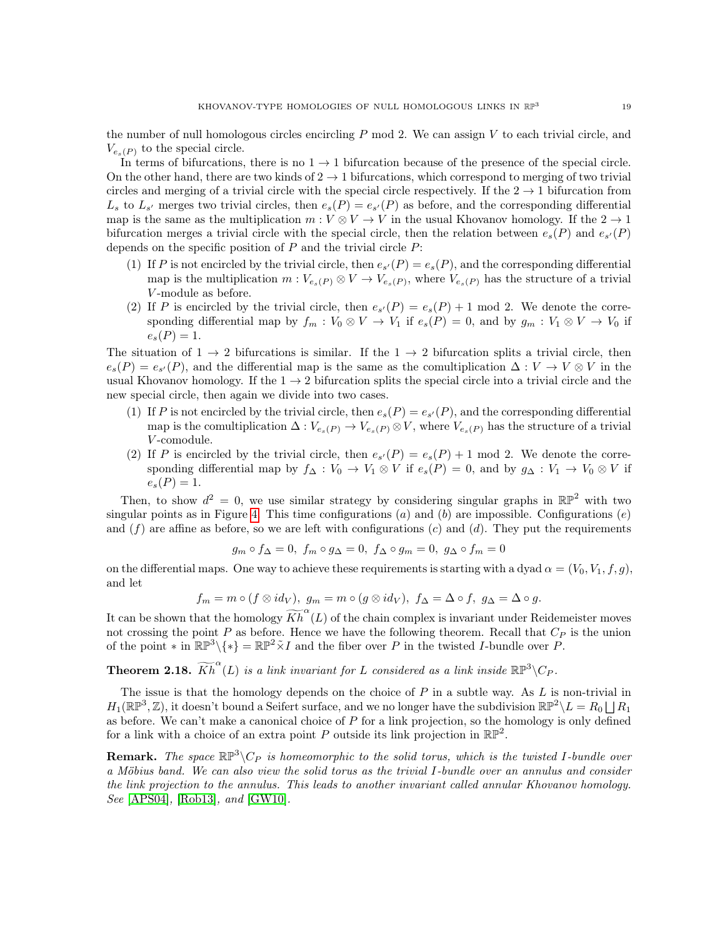the number of null homologous circles encircling  $P$  mod 2. We can assign  $V$  to each trivial circle, and  $V_{e_s(P)}$  to the special circle.

In terms of bifurcations, there is no  $1 \rightarrow 1$  bifurcation because of the presence of the special circle. On the other hand, there are two kinds of  $2 \rightarrow 1$  bifurcations, which correspond to merging of two trivial circles and merging of a trivial circle with the special circle respectively. If the  $2 \rightarrow 1$  bifurcation from  $L_s$  to  $L_{s'}$  merges two trivial circles, then  $e_s(P) = e_{s'}(P)$  as before, and the corresponding differential map is the same as the multiplication  $m: V \otimes V \to V$  in the usual Khovanov homology. If the  $2 \to 1$ bifurcation merges a trivial circle with the special circle, then the relation between  $e_s(P)$  and  $e_{s'}(P)$ depends on the specific position of  $P$  and the trivial circle  $P$ :

- (1) If P is not encircled by the trivial circle, then  $e_{s'}(P) = e_s(P)$ , and the corresponding differential map is the multiplication  $m: V_{e_s(P)} \otimes V \to V_{e_s(P)}$ , where  $V_{e_s(P)}$  has the structure of a trivial -module as before.
- (2) If P is encircled by the trivial circle, then  $e_{s'}(P) = e_{s}(P) + 1 \mod 2$ . We denote the corresponding differential map by  $f_m: V_0 \otimes V \to V_1$  if  $e_s(P) = 0$ , and by  $g_m: V_1 \otimes V \to V_0$  if  $e_s(P) = 1.$

The situation of  $1 \rightarrow 2$  bifurcations is similar. If the  $1 \rightarrow 2$  bifurcation splits a trivial circle, then  $e_s(P) = e_{s'}(P)$ , and the differential map is the same as the comultiplication  $\Delta: V \to V \otimes V$  in the usual Khovanov homology. If the  $1 \rightarrow 2$  bifurcation splits the special circle into a trivial circle and the new special circle, then again we divide into two cases.

- (1) If P is not encircled by the trivial circle, then  $e_s(P) = e_{s'}(P)$ , and the corresponding differential map is the comultiplication  $\Delta: V_{e_s(P)} \to V_{e_s(P)} \otimes V$ , where  $V_{e_s(P)}$  has the structure of a trivial V-comodule.
- (2) If P is encircled by the trivial circle, then  $e_{s'}(P) = e_s(P) + 1 \mod 2$ . We denote the corresponding differential map by  $f_{\Delta}: V_0 \to V_1 \otimes V$  if  $e_s(P) = 0$ , and by  $g_{\Delta}: V_1 \to V_0 \otimes V$  if  $e_s(P) = 1.$

Then, to show  $d^2 = 0$ , we use similar strategy by considering singular graphs in  $\mathbb{RP}^2$  with two singular points as in Figure [4.](#page-6-0) This time configurations (a) and (b) are impossible. Configurations (e) and  $(f)$  are affine as before, so we are left with configurations  $(c)$  and  $(d)$ . They put the requirements

$$
g_m \circ f_{\Delta} = 0, \ f_m \circ g_{\Delta} = 0, \ f_{\Delta} \circ g_m = 0, \ g_{\Delta} \circ f_m = 0
$$

on the differential maps. One way to achieve these requirements is starting with a dyad  $\alpha = (V_0, V_1, f, q)$ , and let

$$
f_m = m \circ (f \otimes id_V), g_m = m \circ (g \otimes id_V), f_\Delta = \Delta \circ f, g_\Delta = \Delta \circ g.
$$

It can be shown that the homology  $\widetilde{Kh}^{\alpha}(L)$  of the chain complex is invariant under Reidemeister moves not crossing the point  $P$  as before. Hence we have the following theorem. Recall that  $C_P$  is the union of the point  $*$  in  $\mathbb{RP}^3\backslash\{*\} = \mathbb{RP}^2 \tilde{\times} I$  and the fiber over P in the twisted I-bundle over P.

**Theorem 2.18.**  $\widetilde{Kh}^{\alpha}(L)$  is a link invariant for L considered as a link inside  $\mathbb{RP}^3\backslash C_P$ .

The issue is that the homology depends on the choice of  $P$  in a subtle way. As  $L$  is non-trivial in  $H_1(\mathbb{RP}^3, \mathbb{Z})$ , it doesn't bound a Seifert surface, and we no longer have the subdivision  $\mathbb{RP}^2 \setminus L = R_0 \bigsqcup R_1$ as before. We can't make a canonical choice of  $P$  for a link projection, so the homology is only defined for a link with a choice of an extra point P outside its link projection in  $\mathbb{RP}^2$ .

**Remark.** The space  $\mathbb{RP}^3\backslash C_P$  is homeomorphic to the solid torus, which is the twisted I-bundle over a Möbius band. We can also view the solid torus as the trivial -bundle over an annulus and consider the link projection to the annulus. This leads to another invariant called annular Khovanov homology. See [\[APS04\]](#page-30-0), [\[Rob13\]](#page-31-2), and [\[GW10\]](#page-30-7).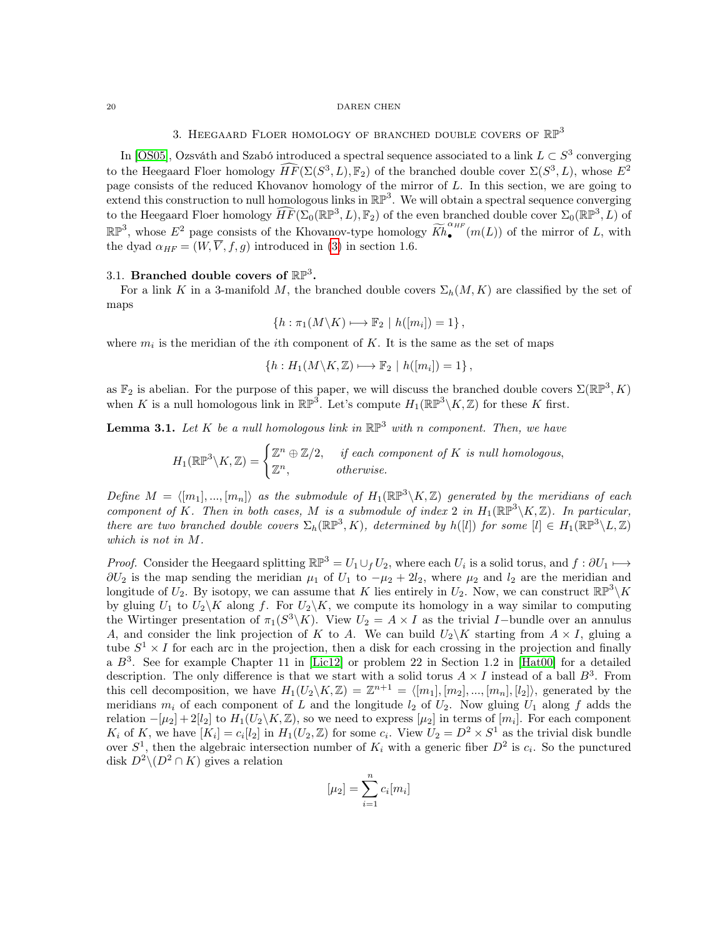## 3. HEEGAARD FLOER HOMOLOGY OF BRANCHED DOUBLE COVERS OF  $\mathbb{RP}^3$

In [\[OS05\]](#page-31-0), Ozsváth and Szabó introduced a spectral sequence associated to a link  $L \subset S^3$  converging to the Heegaard Floer homology  $\widehat{HF}(\Sigma(S^3, L), \mathbb{F}_2)$  of the branched double cover  $\Sigma(S^3, L)$ , whose  $E^2$ page consists of the reduced Khovanov homology of the mirror of  $L$ . In this section, we are going to extend this construction to null homologous links in  $\mathbb{RP}^3$ . We will obtain a spectral sequence converging to the Heegaard Floer homology  $\widehat{HF}(\Sigma_0(\mathbb{RP}^3, L), \mathbb{F}_2)$  of the even branched double cover  $\Sigma_0(\mathbb{RP}^3, L)$  of  $\mathbb{R} \mathbb{P}^3$ , whose  $E^2$  page consists of the Khovanov-type homology  $\widetilde{Kh}_{\bullet}^{\alpha_{HF}}$  $\bullet$  (m(L)) of the mirror of L, with the dyad  $\alpha_{HF} = (W, \overline{V}, f, g)$  introduced in [\(3\)](#page-17-1) in section 1.6.

# <span id="page-19-0"></span>3.1. Branched double covers of  $\mathbb{RP}^3$ .

For a link K in a 3-manifold M, the branched double covers  $\Sigma_h(M, K)$  are classified by the set of maps

$$
\{h : \pi_1(M \backslash K) \longmapsto \mathbb{F}_2 \mid h([m_i]) = 1\},\
$$

where  $m_i$  is the meridian of the *i*th component of K. It is the same as the set of maps

 $\{h: H_1(M\backslash K, \mathbb{Z}) \longmapsto \mathbb{F}_2 \mid h([m_i]) = 1\},\$ 

as  $\mathbb{F}_2$  is abelian. For the purpose of this paper, we will discuss the branched double covers  $\Sigma(\mathbb{RP}^3, K)$ when K is a null homologous link in  $\mathbb{RP}^3$ . Let's compute  $H_1(\mathbb{RP}^3\backslash K,\mathbb{Z})$  for these K first.

**Lemma 3.1.** Let K be a null homologous link in  $\mathbb{RP}^3$  with n component. Then, we have

 $H_1(\mathbb{RP}^3\backslash K,\mathbb{Z})=\begin{cases} \mathbb{Z}^n\oplus \mathbb{Z}/2, &\text{if each component of }K\text{ is null homologous},\end{cases}$  $\mathbb{Z}^n$ , otherwise.

Define  $M = \langle [m_1], ..., [m_n] \rangle$  as the submodule of  $H_1(\mathbb{RP}^3 \setminus K, \mathbb{Z})$  generated by the meridians of each component of K. Then in both cases, M is a submodule of index 2 in  $H_1(\mathbb{RP}^3\backslash K,\mathbb{Z})$ . In particular, there are two branched double covers  $\Sigma_h(\mathbb{RP}^3, K)$ , determined by  $h([l])$  for some  $[l] \in H_1(\mathbb{RP}^3 \setminus L, \mathbb{Z})$ which is not in  $M$ .

*Proof.* Consider the Heegaard splitting  $\mathbb{RP}^3 = U_1 \cup_f U_2$ , where each  $U_i$  is a solid torus, and  $f: \partial U_1 \longmapsto$  $\partial U_2$  is the map sending the meridian  $\mu_1$  of  $U_1$  to  $-\mu_2 + 2l_2$ , where  $\mu_2$  and  $l_2$  are the meridian and longitude of  $U_2$ . By isotopy, we can assume that K lies entirely in  $U_2$ . Now, we can construct  $\mathbb{RP}^3\backslash K$ by gluing  $U_1$  to  $U_2\backslash K$  along f. For  $U_2\backslash K$ , we compute its homology in a way similar to computing the Wirtinger presentation of  $\pi_1(S^3 \backslash K)$ . View  $U_2 = A \times I$  as the trivial I-bundle over an annulus A, and consider the link projection of K to A. We can build  $U_2\backslash K$  starting from  $A \times I$ , gluing a tube  $S^1 \times I$  for each arc in the projection, then a disk for each crossing in the projection and finally a  $B^3$ . See for example Chapter 11 in [\[Lic12\]](#page-30-3) or problem 22 in Section 1.2 in [\[Hat00\]](#page-30-8) for a detailed description. The only difference is that we start with a solid torus  $A \times I$  instead of a ball  $B^3$ . From this cell decomposition, we have  $H_1(U_2 \backslash K, \mathbb{Z}) = \mathbb{Z}^{n+1} = \langle [m_1], [m_2], ..., [m_n], [l_2] \rangle$ , generated by the meridians  $m_i$  of each component of L and the longitude  $l_2$  of  $U_2$ . Now gluing  $U_1$  along f adds the relation  $-[\mu_2]+2[l_2]$  to  $H_1(U_2\backslash K,\mathbb{Z})$ , so we need to express  $[\mu_2]$  in terms of  $[m_i]$ . For each component  $K_i$  of K, we have  $[K_i] = c_i[l_2]$  in  $H_1(U_2, \mathbb{Z})$  for some  $c_i$ . View  $U_2 = D^2 \times S^1$  as the trivial disk bundle over  $S^1$ , then the algebraic intersection number of  $K_i$  with a generic fiber  $D^2$  is  $c_i$ . So the punctured disk  $D^2 \setminus (D^2 \cap K)$  gives a relation

$$
[\mu_2] = \sum_{i=1}^n c_i [m_i]
$$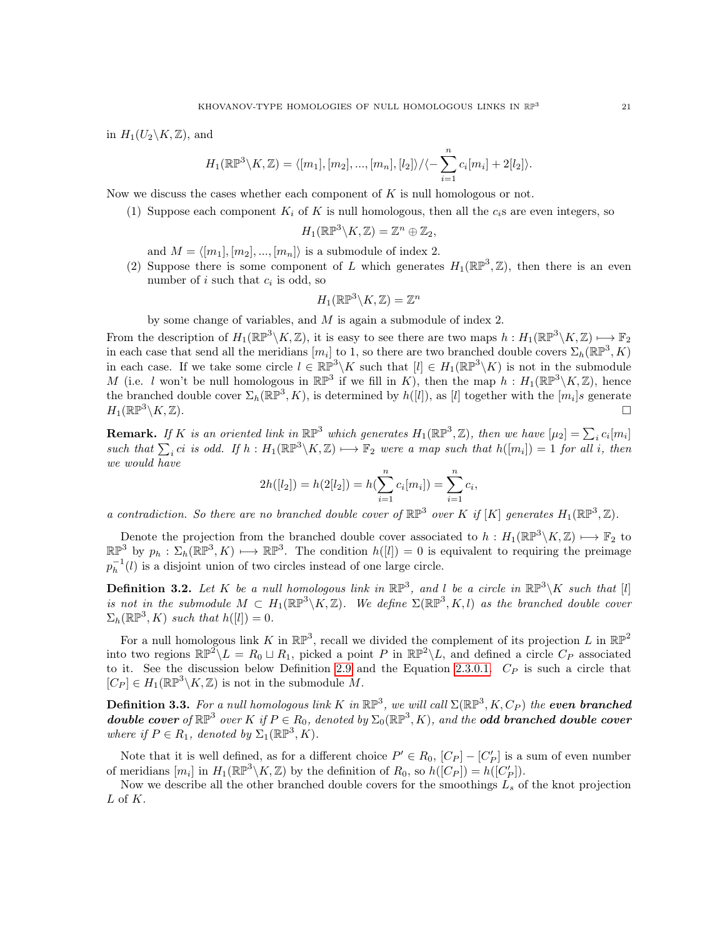in  $H_1(U_2\backslash K,\mathbb{Z})$ , and

$$
H_1(\mathbb{RP}^3 \setminus K, \mathbb{Z}) = \langle [m_1], [m_2], ..., [m_n], [l_2] \rangle / \langle - \sum_{i=1}^n c_i [m_i] + 2[l_2] \rangle.
$$

Now we discuss the cases whether each component of  $K$  is null homologous or not.

(1) Suppose each component  $K_i$  of K is null homologous, then all the  $c_i$ s are even integers, so

$$
H_1(\mathbb{RP}^3 \backslash K, \mathbb{Z}) = \mathbb{Z}^n \oplus \mathbb{Z}_2,
$$

and  $M = \langle [m_1], [m_2], ..., [m_n] \rangle$  is a submodule of index 2.

(2) Suppose there is some component of L which generates  $H_1(\mathbb{RP}^3, \mathbb{Z})$ , then there is an even number of  $i$  such that  $c_i$  is odd, so

$$
H_1(\mathbb{RP}^3 \backslash K, \mathbb{Z}) = \mathbb{Z}^n
$$

by some change of variables, and  $M$  is again a submodule of index 2.

From the description of  $H_1(\mathbb{RP}^3\backslash K,\mathbb{Z})$ , it is easy to see there are two maps  $h: H_1(\mathbb{RP}^3\backslash K,\mathbb{Z}) \mapsto \mathbb{F}_2$ in each case that send all the meridians  $[m_i]$  to 1, so there are two branched double covers  $\Sigma_h(\mathbb{RP}^3, K)$ in each case. If we take some circle  $l \in \mathbb{RP}^3 \backslash K$  such that  $[l] \in H_1(\mathbb{RP}^3 \backslash K)$  is not in the submodule M (i.e. l won't be null homologous in  $\mathbb{RP}^3$  if we fill in K), then the map  $h : H_1(\mathbb{RP}^3 \setminus K, \mathbb{Z})$ , hence the branched double cover  $\Sigma_h(\mathbb{RP}^3, K)$ , is determined by  $h([l])$ , as  $[l]$  together with the  $[m_i]s$  generate  $H_1(\mathbb{RP}^3\backslash K,\mathbb{Z}).$  $\setminus K,\mathbb{Z}$ .

**Remark.** If K is an oriented link in  $\mathbb{RP}^3$  which generates  $H_1(\mathbb{RP}^3, \mathbb{Z})$ , then we have  $[\mu_2] = \sum_i c_i[m_i]$ such that  $\sum_i c_i$  is odd. If  $h : H_1(\mathbb{RP}^3 \setminus K, \mathbb{Z}) \longrightarrow \mathbb{F}_2$  were a map such that  $h([m_i]) = 1$  for all i, then we would have

$$
2h([l_2]) = h(2[l_2]) = h(\sum_{i=1}^n c_i[m_i]) = \sum_{i=1}^n c_i,
$$

a contradiction. So there are no branched double cover of  $\mathbb{RP}^3$  over K if [K] generates  $H_1(\mathbb{RP}^3, \mathbb{Z})$ .

Denote the projection from the branched double cover associated to  $h: H_1(\mathbb{RP}^3 \backslash K, \mathbb{Z}) \longrightarrow \mathbb{F}_2$  to  $\mathbb{RP}^3$  by  $p_h : \Sigma_h(\mathbb{RP}^3, K) \longrightarrow \mathbb{RP}^3$ . The condition  $h([l]) = 0$  is equivalent to requiring the preimage  $p_h^{-1}(l)$  is a disjoint union of two circles instead of one large circle.

**Definition 3.2.** Let K be a null homologous link in  $\mathbb{RP}^3$ , and l be a circle in  $\mathbb{RP}^3\backslash K$  such that [l] is not in the submodule  $M \subset H_1(\mathbb{RP}^3 \backslash K, \mathbb{Z})$ . We define  $\Sigma(\mathbb{RP}^3, K, l)$  as the branched double cover  $\Sigma_h(\mathbb{RP}^3, K)$  such that  $h([l]) = 0$ .

For a null homologous link K in  $\mathbb{RP}^3$ , recall we divided the complement of its projection L in  $\mathbb{RP}^2$ into two regions  $\mathbb{RP}^2 \backslash L = R_0 \sqcup R_1$ , picked a point P in  $\mathbb{RP}^2 \backslash L$ , and defined a circle  $C_P$  associated to it. See the discussion below Definition [2](#page-9-3).9 and the Equation 2.3.0.1.  $C_P$  is such a circle that  $[C_P] \in H_1(\mathbb{RP}^3 \backslash K, \mathbb{Z})$  is not in the submodule M.

<span id="page-20-0"></span>**Definition 3.3.** For a null homologous link K in  $\mathbb{RP}^3$ , we will call  $\Sigma(\mathbb{RP}^3,K,C_P)$  the even branched **double cover** of  $\mathbb{RP}^3$  over K if  $P \in R_0$ , denoted by  $\Sigma_0(\mathbb{RP}^3, K)$ , and the **odd branched double cover** where if  $P \in R_1$ , denoted by  $\Sigma_1(\mathbb{RP}^3, K)$ .

Note that it is well defined, as for a different choice  $P' \in R_0$ ,  $[C_P] - [C'_P]$  is a sum of even number of meridians  $[m_i]$  in  $H_1(\mathbb{RP}^3\backslash K,\mathbb{Z})$  by the definition of  $R_0$ , so  $h([C_P]) = h([C_P'])$ .

Now we describe all the other branched double covers for the smoothings  $L_s$  of the knot projection  $L$  of  $K$ .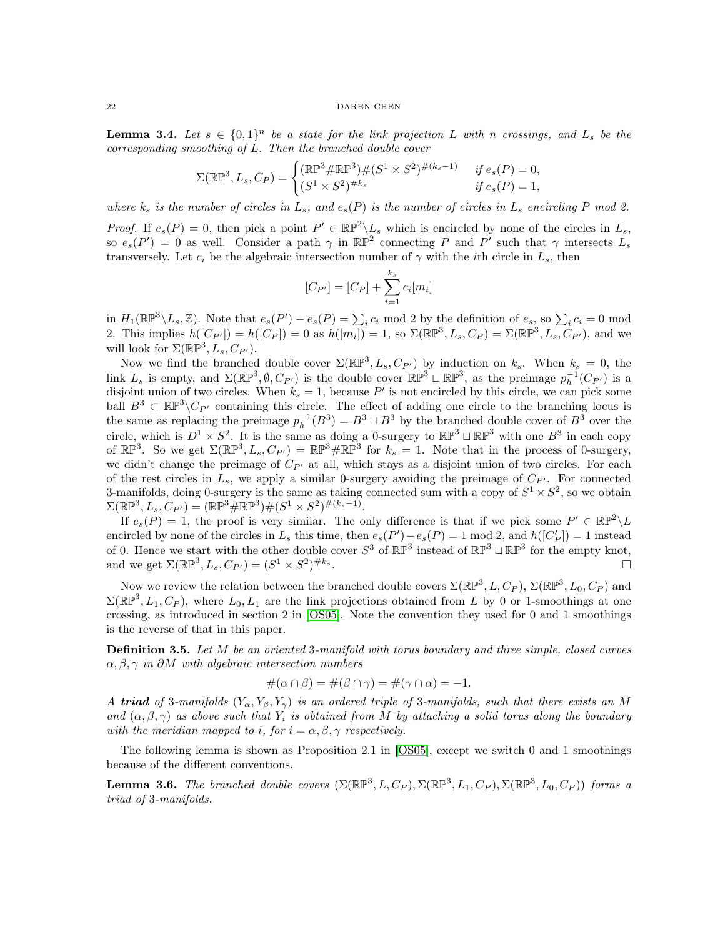<span id="page-21-1"></span>**Lemma 3.4.** Let  $s \in \{0,1\}^n$  be a state for the link projection L with n crossings, and L<sub>s</sub> be the  $corresponding smoothing of L. Then the branched double cover$ 

$$
\Sigma(\mathbb{RP}^3, L_s, C_P) = \begin{cases} (\mathbb{RP}^3 \# \mathbb{RP}^3) \# (S^1 \times S^2)^{\#(k_s - 1)} & \text{if } e_s(P) = 0, \\ (S^1 \times S^2)^{\#k_s} & \text{if } e_s(P) = 1, \end{cases}
$$

where  $k_s$  is the number of circles in  $L_s$ , and  $e_s(P)$  is the number of circles in  $L_s$  encircling P mod 2.

*Proof.* If  $e_s(P) = 0$ , then pick a point  $P' \in \mathbb{RP}^2 \backslash L_s$  which is encircled by none of the circles in  $L_s$ , so  $e_s(P') = 0$  as well. Consider a path  $\gamma$  in  $\mathbb{RP}^2$  connecting P and P' such that  $\gamma$  intersects  $L_s$ transversely. Let  $c_i$  be the algebraic intersection number of  $\gamma$  with the *i*th circle in  $L_s$ , then

$$
[C_{P'}] = [C_P] + \sum_{i=1}^{k_s} c_i [m_i]
$$

in  $H_1(\mathbb{RP}^3 \setminus L_s, \mathbb{Z})$ . Note that  $e_s(P') - e_s(P) = \sum_i c_i \mod 2$  by the definition of  $e_s$ , so  $\sum_i c_i = 0 \mod 2$ 2. This implies  $h([C_{P'}]) = h([C_P]) = 0$  as  $h([m_i]) = 1$ , so  $\Sigma(\mathbb{RP}^3, L_s, C_P) = \Sigma(\mathbb{RP}^3, L_s, C_{P'})$ , and we will look for  $\Sigma(\mathbb{RP}^3, L_s, C_{P'})$ .

Now we find the branched double cover  $\Sigma(\mathbb{RP}^3, L_s, C_{P'})$  by induction on  $k_s$ . When  $k_s = 0$ , the link  $L_s$  is empty, and  $\Sigma(\mathbb{RP}^3, \emptyset, C_{P'})$  is the double cover  $\mathbb{RP}^3 \sqcup \mathbb{RP}^3$ , as the preimage  $p_h^{-1}(C_{P'})$  is a disjoint union of two circles. When  $k_s = 1$ , because P' is not encircled by this circle, we can pick some ball  $B^3 \subset \mathbb{RP}^3\backslash C_{P'}$  containing this circle. The effect of adding one circle to the branching locus is the same as replacing the preimage  $p_h^{-1}(B^3) = B^3 \sqcup B^3$  by the branched double cover of  $B^3$  over the circle, which is  $D^1 \times S^2$ . It is the same as doing a 0-surgery to  $\mathbb{RP}^3 \sqcup \mathbb{RP}^3$  with one  $B^3$  in each copy of  $\mathbb{RP}^3$ . So we get  $\Sigma(\mathbb{RP}^3, L_s, C_{P'}) = \mathbb{RP}^3 \# \mathbb{RP}^3$  for  $k_s = 1$ . Note that in the process of 0-surgery, we didn't change the preimage of  $C_{P'}$  at all, which stays as a disjoint union of two circles. For each of the rest circles in  $L_s$ , we apply a similar 0-surgery avoiding the preimage of  $C_{P'}$ . For connected 3-manifolds, doing 0-surgery is the same as taking connected sum with a copy of  $S^1 \times S^2$ , so we obtain  $\Sigma(\mathbb{RP}^3, L_s, C_{P'}) = (\mathbb{RP}^3 \# \mathbb{RP}^3) \# (S^1 \times S^2)^{\#(k_s-1)}.$ 

If  $e_s(P) = 1$ , the proof is very similar. The only difference is that if we pick some  $P' \in \mathbb{RP}^2 \setminus L$ encircled by none of the circles in  $L_s$  this time, then  $e_s(P') - e_s(P) = 1 \mod 2$ , and  $h([C_P']) = 1$  instead of 0. Hence we start with the other double cover  $S^3$  of  $\mathbb{RP}^3$  instead of  $\mathbb{RP}^3 \sqcup \mathbb{RP}^3$  for the empty knot, and we get  $\Sigma(\mathbb{RP}^3, L_s, C_{P'}) = (S^1 \times S^2)^{\#k_s}$ .

Now we review the relation between the branched double covers  $\Sigma(\mathbb{RP}^3, L, C_P)$ ,  $\Sigma(\mathbb{RP}^3, L_0, C_P)$  and  $\Sigma(\mathbb{RP}^3, L_1, C_P)$ , where  $L_0, L_1$  are the link projections obtained from L by 0 or 1-smoothings at one crossing, as introduced in section 2 in [\[OS05\]](#page-31-0). Note the convention they used for 0 and 1 smoothings is the reverse of that in this paper.

**Definition 3.5.** Let  $M$  be an oriented 3-manifold with torus boundary and three simple, closed curves  $\alpha, \beta, \gamma$  in ∂M with algebraic intersection numbers

$$
\#(\alpha \cap \beta) = \#(\beta \cap \gamma) = \#(\gamma \cap \alpha) = -1.
$$

A triad of 3-manifolds  $(Y_{\alpha}, Y_{\beta}, Y_{\gamma})$  is an ordered triple of 3-manifolds, such that there exists an M and  $(\alpha, \beta, \gamma)$  as above such that  $Y_i$  is obtained from M by attaching a solid torus along the boundary with the meridian mapped to *i*, for  $i = \alpha, \beta, \gamma$  respectively.

The following lemma is shown as Proposition 2.1 in [\[OS05\]](#page-31-0), except we switch 0 and 1 smoothings because of the different conventions.

<span id="page-21-0"></span>**Lemma 3.6.** The branched double covers  $(\Sigma(\mathbb{RP}^3, L, C_P), \Sigma(\mathbb{RP}^3, L_1, C_P), \Sigma(\mathbb{RP}^3, L_0, C_P))$  forms a triad of 3-manifolds.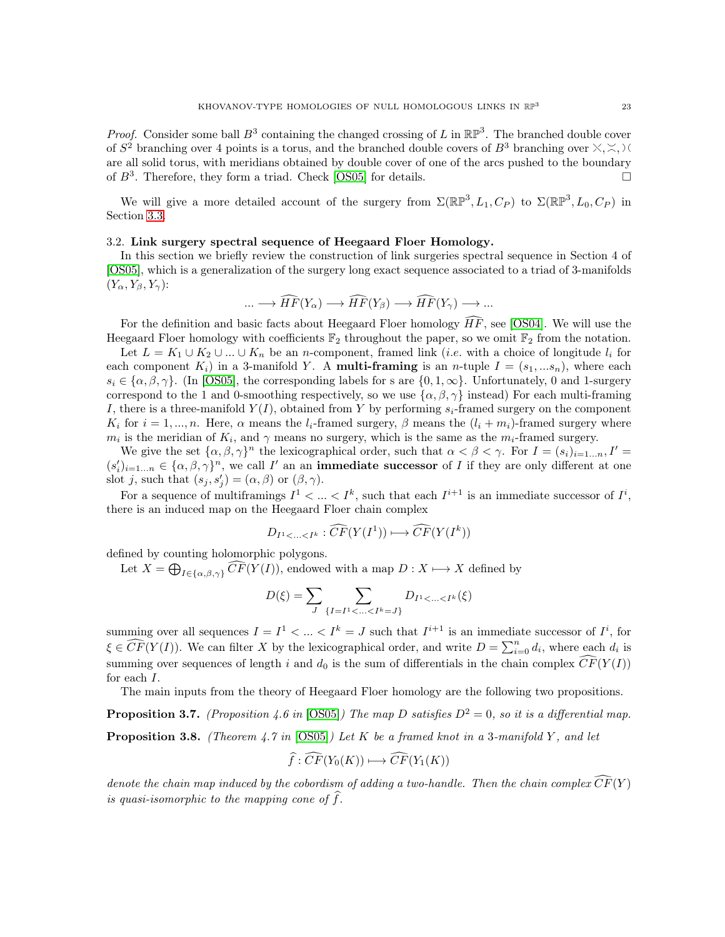*Proof.* Consider some ball  $B^3$  containing the changed crossing of L in  $\mathbb{RP}^3$ . The branched double cover of  $S^2$  branching over 4 points is a torus, and the branched double covers of  $B^3$  branching over  $\times, \times, \times$ are all solid torus, with meridians obtained by double cover of one of the arcs pushed to the boundary of  $B^3$ . Therefore, they form a triad. Check [\[OS05\]](#page-31-0) for details.

We will give a more detailed account of the surgery from  $\Sigma(\mathbb{RP}^3, L_1, C_P)$  to  $\Sigma(\mathbb{RP}^3, L_0, C_P)$  in Section [3](#page-23-0).3.

#### <span id="page-22-0"></span>3.2. Link surgery spectral sequence of Heegaard Floer Homology.

In this section we briefly review the construction of link surgeries spectral sequence in Section 4 of [\[OS05\]](#page-31-0), which is a generalization of the surgery long exact sequence associated to a triad of 3-manifolds  $(Y_{\alpha}, Y_{\beta}, Y_{\gamma})$ :

$$
\dots \longrightarrow \widehat{HF}(Y_{\alpha}) \longrightarrow \widehat{HF}(Y_{\beta}) \longrightarrow \widehat{HF}(Y_{\gamma}) \longrightarrow \dots
$$

For the definition and basic facts about Heegaard Floer homology  $\overline{HF}$ , see [\[OS04\]](#page-31-3). We will use the Heegaard Floer homology with coefficients  $\mathbb{F}_2$  throughout the paper, so we omit  $\mathbb{F}_2$  from the notation.

Let  $L = K_1 \cup K_2 \cup ... \cup K_n$  be an *n*-component, framed link (*i.e.* with a choice of longitude  $l_i$  for each component  $K_i$ ) in a 3-manifold Y. A **multi-framing** is an *n*-tuple  $I = (s_1, \ldots, s_n)$ , where each  $s_i \in {\alpha, \beta, \gamma}$ . (In [\[OS05\]](#page-31-0), the corresponding labels for s are  ${0, 1, \infty}$ . Unfortunately, 0 and 1-surgery correspond to the 1 and 0-smoothing respectively, so we use  $\{\alpha, \beta, \gamma\}$  instead) For each multi-framing I, there is a three-manifold  $Y(I)$ , obtained from Y by performing  $s_i$ -framed surgery on the component  $K_i$  for  $i = 1, ..., n$ . Here,  $\alpha$  means the  $l_i$ -framed surgery,  $\beta$  means the  $(l_i + m_i)$ -framed surgery where  $m_i$  is the meridian of  $K_i$ , and  $\gamma$  means no surgery, which is the same as the  $m_i$ -framed surgery.

We give the set  $\{\alpha, \beta, \gamma\}^n$  the lexicographical order, such that  $\alpha < \beta < \gamma$ . For  $I = (s_i)_{i=1...n}$ ,  $I' =$  $(s_i')_{i=1...n} \in {\alpha, \beta, \gamma}^n$ , we call I' an an **immediate successor** of I if they are only different at one slot j, such that  $(s_j, s'_j) = (\alpha, \beta)$  or  $(\beta, \gamma)$ .

For a sequence of multiframings  $I^1 < ... < I^k$ , such that each  $I^{i+1}$  is an immediate successor of  $I^i$ , there is an induced map on the Heegaard Floer chain complex

$$
D_{I^1 < \ldots < I^k} : \widehat{CF}(Y(I^1)) \longmapsto \widehat{CF}(Y(I^k))
$$

defined by counting holomorphic polygons.

Let  $X = \bigoplus_{I \in {\{\alpha, \beta, \gamma\}}} CF(Y(I))$ , endowed with a map  $D : X \longmapsto X$  defined by

$$
D(\xi) = \sum_{J} \sum_{\{I = I^1 < \dots < I^k = J\}} D_{I^1 < \dots < I^k}(\xi)
$$

summing over all sequences  $I = I^1 < ... < I^k = J$  such that  $I^{i+1}$  is an immediate successor of  $I^i$ , for  $\xi \in \widehat{CF}(Y(I))$ . We can filter X by the lexicographical order, and write  $D = \sum_{i=0}^{n} d_i$ , where each  $d_i$  is summing over sequences of length i and  $d_0$  is the sum of differentials in the chain complex  $\widehat{CF}(Y(I))$ for each  $I$ .

The main inputs from the theory of Heegaard Floer homology are the following two propositions.

**Proposition 3.7.** (Proposition 4.6 in [\[OS05\]](#page-31-0)) The map D satisfies  $D^2 = 0$ , so it is a differential map. **Proposition 3.8.** (Theorem 4.7 in [\[OS05\]](#page-31-0)) Let  $K$  be a framed knot in a 3-manifold Y, and let

$$
\widehat{f}: \widehat{CF}(Y_0(K)) \longmapsto \widehat{CF}(Y_1(K))
$$

denote the chain map induced by the cobordism of adding a two-handle. Then the chain complex  $\widehat{CF}(Y)$ is quasi-isomorphic to the mapping cone of  $\hat{f}$ .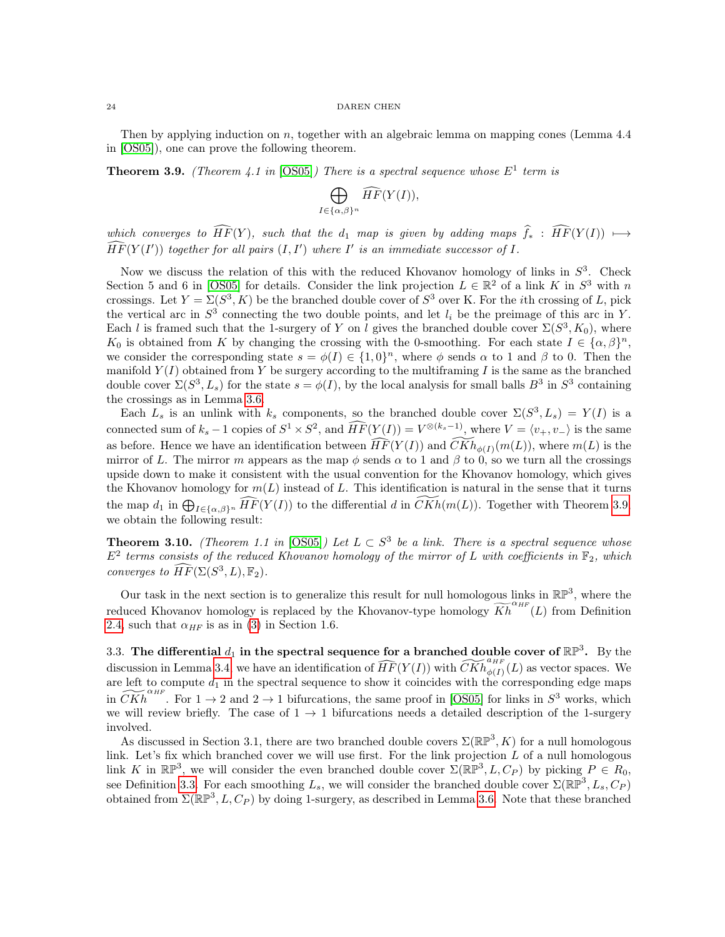Then by applying induction on  $n$ , together with an algebraic lemma on mapping cones (Lemma 4.4) in [\[OS05\]](#page-31-0)), one can prove the following theorem.

<span id="page-23-1"></span>**Theorem 3.9.** (Theorem 4.1 in [\[OS05\]](#page-31-0)) There is a spectral sequence whose  $E^1$  term is

$$
\bigoplus_{I \in {\{\alpha, \beta\}}^n} \widehat{HF}(Y(I)),
$$

which converges to  $\widehat{HF}(Y)$ , such that the  $d_1$  map is given by adding maps  $\widehat{f}_*$  :  $\widehat{HF}(Y(I)) \mapsto$  $\widehat{HF}(Y(I'))$  together for all pairs  $(I, I')$  where  $I'$  is an immediate successor of  $I$ .

Now we discuss the relation of this with the reduced Khovanov homology of links in  $S^3$ . Check Section 5 and 6 in [\[OS05\]](#page-31-0) for details. Consider the link projection  $L \in \mathbb{R}^2$  of a link K in  $S^3$  with n crossings. Let  $Y = \Sigma(S^3, K)$  be the branched double cover of  $S^3$  over K. For the *i*th crossing of L, pick the vertical arc in  $S^3$  connecting the two double points, and let  $l_i$  be the preimage of this arc in Y. Each *l* is framed such that the 1-surgery of Y on *l* gives the branched double cover  $\Sigma(S^3, K_0)$ , where  $K_0$  is obtained from K by changing the crossing with the 0-smoothing. For each state  $I \in \{\alpha, \beta\}^n$ , we consider the corresponding state  $s = \phi(I) \in \{1, 0\}^n$ , where  $\phi$  sends  $\alpha$  to 1 and  $\beta$  to 0. Then the manifold  $Y(I)$  obtained from Y be surgery according to the multiframing I is the same as the branched double cover  $\Sigma(S^3, L_s)$  for the state  $s = \phi(I)$ , by the local analysis for small balls  $B^3$  in  $S^3$  containing the crossings as in Lemma [3](#page-21-0).6.

Each  $L_s$  is an unlink with  $k_s$  components, so the branched double cover  $\Sigma(S^3, L_s) = Y(I)$  is a connected sum of  $k_s - 1$  copies of  $S^1 \times S^2$ , and  $\widehat{HF}(Y(I)) = V^{\otimes (k_s - 1)}$ , where  $V = \langle v_+, v_- \rangle$  is the same as before. Hence we have an identification between  $\widehat{HF}(Y(I))$  and  $\widehat{CKh}_{\phi(I)}(m(L))$ , where  $m(L)$  is the mirror of L. The mirror m appears as the map  $\phi$  sends  $\alpha$  to 1 and  $\beta$  to 0, so we turn all the crossings upside down to make it consistent with the usual convention for the Khovanov homology, which gives the Khovanov homology for  $m(L)$  instead of L. This identification is natural in the sense that it turns the map  $d_1$  in  $\bigoplus_{I \in {\{\alpha,\beta\}}^n} \widehat{HF}(Y(I))$  to the differential d in  $\widetilde{CKh}(m(L))$ . Together with Theorem [3](#page-23-1).9, we obtain the following result:

<span id="page-23-2"></span>**Theorem 3.10.** (Theorem 1.1 in [\[OS05\]](#page-31-0)) Let  $L \subset S^3$  be a link. There is a spectral sequence whose  $E^2$  terms consists of the reduced Khovanov homology of the mirror of L with coefficients in  $\mathbb{F}_2$ , which converges to  $\widehat{HF}(\Sigma(S^3, L), \mathbb{F}_2)$ .

Our task in the next section is to generalize this result for null homologous links in  $\mathbb{RP}^3$ , where the reduced Khovanov homology is replaced by the Khovanov-type homology  $\widetilde{Kh}^{\alpha_{HF}}(L)$  from Definition [2](#page-3-2).4, such that  $\alpha_{HF}$  is as in [\(3\)](#page-17-1) in Section 1.6.

<span id="page-23-0"></span>3.3. The differential  $d_1$  in the spectral sequence for a branched double cover of  $\mathbb{RP}^3$ . By the discussion in Lemma [3](#page-21-1).4, we have an identification of  $\widehat{HF}(Y(I))$  with  $\widetilde{CKh}_{\phi(I)}^{a_{HF}}(L)$  as vector spaces. We are left to compute  $d_1$  in the spectral sequence to show it coincides with the corresponding edge maps in  $\widetilde{CKh}^{a_{HF}}$ . For  $1 \rightarrow 2$  and  $2 \rightarrow 1$  bifurcations, the same proof in [\[OS05\]](#page-31-0) for links in  $S^3$  works, which we will review briefly. The case of  $1 \rightarrow 1$  bifurcations needs a detailed description of the 1-surgery involved.

As discussed in Section 3.1, there are two branched double covers  $\Sigma(\mathbb{RP}^3, K)$  for a null homologous link. Let's fix which branched cover we will use first. For the link projection  $\tilde{L}$  of a null homologous link K in  $\mathbb{RP}^3$ , we will consider the even branched double cover  $\Sigma(\mathbb{RP}^3, L, C_P)$  by picking  $P \in R_0$ , see Definition [3](#page-20-0).3. For each smoothing  $L_s$ , we will consider the branched double cover  $\Sigma(\mathbb{RP}^3, L_s, C_P)$ obtained from  $\Sigma(\mathbb{RP}^3, L, C_P)$  $\Sigma(\mathbb{RP}^3, L, C_P)$  $\Sigma(\mathbb{RP}^3, L, C_P)$  by doing 1-surgery, as described in Lemma 3.6. Note that these branched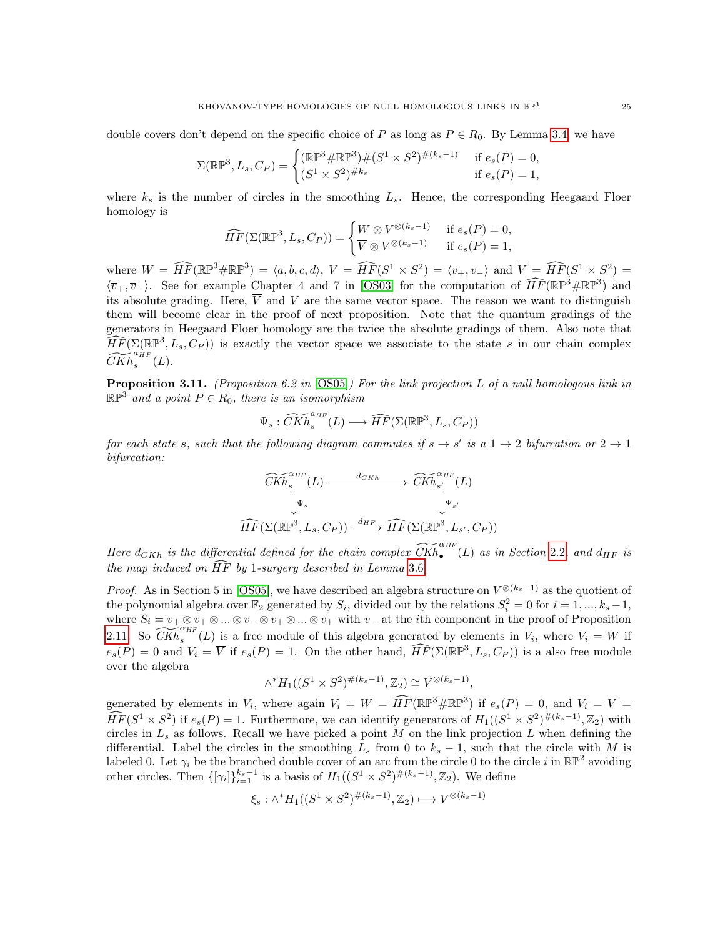double covers don't depend on the specific choice of P as long as  $P \in R_0$ . By Lemma [3](#page-21-1).4, we have

$$
\Sigma(\mathbb{RP}^3, L_s, C_P) = \begin{cases} (\mathbb{RP}^3 \# \mathbb{RP}^3) \# (S^1 \times S^2)^{\#(k_s - 1)} & \text{if } e_s(P) = 0, \\ (S^1 \times S^2)^{\#k_s} & \text{if } e_s(P) = 1, \end{cases}
$$

where  $k_s$  is the number of circles in the smoothing  $L_s$ . Hence, the corresponding Heegaard Floer homology is

$$
\widehat{HF}(\Sigma(\mathbb{RP}^3, L_s, C_P)) = \begin{cases} W \otimes V^{\otimes (k_s - 1)} & \text{if } e_s(P) = 0, \\ \overline{V} \otimes V^{\otimes (k_s - 1)} & \text{if } e_s(P) = 1, \end{cases}
$$

where  $W = \widehat{HF}(\mathbb{RP}^3 \# \mathbb{RP}^3) = \langle a, b, c, d \rangle$ ,  $V = \widehat{HF}(S^1 \times S^2) = \langle v_+, v_- \rangle$  and  $\overline{V} = \widehat{HF}(S^1 \times S^2) = \langle v_+, v_- \rangle$  $\langle \overline{v}_+,\overline{v}_-\rangle$ . See for example Chapter 4 and 7 in [\[OS03\]](#page-31-4) for the computation of  $\widehat{HF}(\mathbb{RP}^3\#\mathbb{RP}^3)$  and its absolute grading. Here,  $\overline{V}$  and V are the same vector space. The reason we want to distinguish them will become clear in the proof of next proposition. Note that the quantum gradings of the generators in Heegaard Floer homology are the twice the absolute gradings of them. Also note that  $\widehat{HF}(\Sigma(\mathbb{RP}^3, L_s, C_P))$  is exactly the vector space we associate to the state s in our chain complex  $\widetilde{CKh}_{s}^{a\grave{\mu}_{F}}(L).$ 

<span id="page-24-0"></span>**Proposition 3.11.** (Proposition 6.2 in  $[OS05]$ ) For the link projection L of a null homologous link in  $\mathbb{RP}^3$  and a point  $P \in R_0$ , there is an isomorphism

$$
\Psi_s : \widetilde{CKh}_s^{a_{HF}}(L) \longmapsto \widehat{HF}(\Sigma(\mathbb{RP}^3, L_s, C_P))
$$

for each state s, such that the following diagram commutes if  $s \to s'$  is a  $1 \to 2$  bifurcation or  $2 \to 1$ bifurcation:

$$
\widetilde{CKh}_{s}^{\alpha_{HF}}(L) \xrightarrow{d_{CKh}} \widetilde{CKh}_{s'}^{\alpha_{HF}}(L)
$$
  

$$
\downarrow \Psi_{s} \qquad \qquad \downarrow \Psi_{s'}
$$
  

$$
\widehat{HF}(\Sigma(\mathbb{RP}^3, L_s, C_P)) \xrightarrow{d_{HF}} \widehat{HF}(\Sigma(\mathbb{RP}^3, L_{s'}, C_P))
$$

Here  $d_{CKh}$  is the differential defined for the chain complex  $\widetilde{CKh}_{\bullet}^{\alpha_{HF}}(L)$  as in Section [2](#page-3-0).2, and  $d_{HF}$  is the map induced on  $\widehat{HF}$  by 1-surgery described in Lemma [3](#page-21-0).6.

*Proof.* As in Section 5 in [\[OS05\]](#page-31-0), we have described an algebra structure on  $V^{\otimes (k_s-1)}$  as the quotient of the polynomial algebra over  $\mathbb{F}_2$  generated by  $S_i$ , divided out by the relations  $S_i^2 = 0$  for  $i = 1, ..., k_s - 1$ , where  $S_i = v_+ \otimes v_+ \otimes ... \otimes v_- \otimes v_+ \otimes ... \otimes v_+$  with  $v_-$  at the *i*th component in the proof of Proposition [2.11.](#page-10-0) So  $\widetilde{CKh}_{s}^{\alpha_{HF}}(L)$  is a free module of this algebra generated by elements in  $V_i$ , where  $V_i = W$  if  $e_s(P) = 0$  and  $V_i = \overline{V}$  if  $e_s(P) = 1$ . On the other hand,  $\widehat{HF}(\Sigma(\mathbb{RP}^3, L_s, C_P))$  is a also free module over the algebra

$$
\wedge^* H_1((S^1 \times S^2)^{\#(k_s - 1)}, \mathbb{Z}_2) \cong V^{\otimes (k_s - 1)},
$$

generated by elements in  $V_i$ , where again  $V_i = W = \widehat{HF}(\mathbb{RP}^3 \# \mathbb{RP}^3)$  if  $e_s(P) = 0$ , and  $V_i = \overline{V} = \overline{V}$  $\widehat{HF}(S^1 \times S^2)$  if  $e_s(P) = 1$ . Furthermore, we can identify generators of  $H_1((S^1 \times S^2)^{\#(k_s-1)}, \mathbb{Z}_2)$  with circles in  $L_s$  as follows. Recall we have picked a point M on the link projection L when defining the differential. Label the circles in the smoothing  $L_s$  from 0 to  $k_s - 1$ , such that the circle with M is labeled 0. Let  $\gamma_i$  be the branched double cover of an arc from the circle 0 to the circle i in  $\mathbb{RP}^2$  avoiding other circles. Then  $\{[\gamma_i]\}_{i=1}^{k_s-1}$  is a basis of  $H_1((S^1 \times S^2)^{\#(k_s-1)}, \mathbb{Z}_2)$ . We define

$$
\xi_s: \wedge^* H_1((S^1 \times S^2)^{\#(k_s - 1)}, \mathbb{Z}_2) \longmapsto V^{\otimes (k_s - 1)}
$$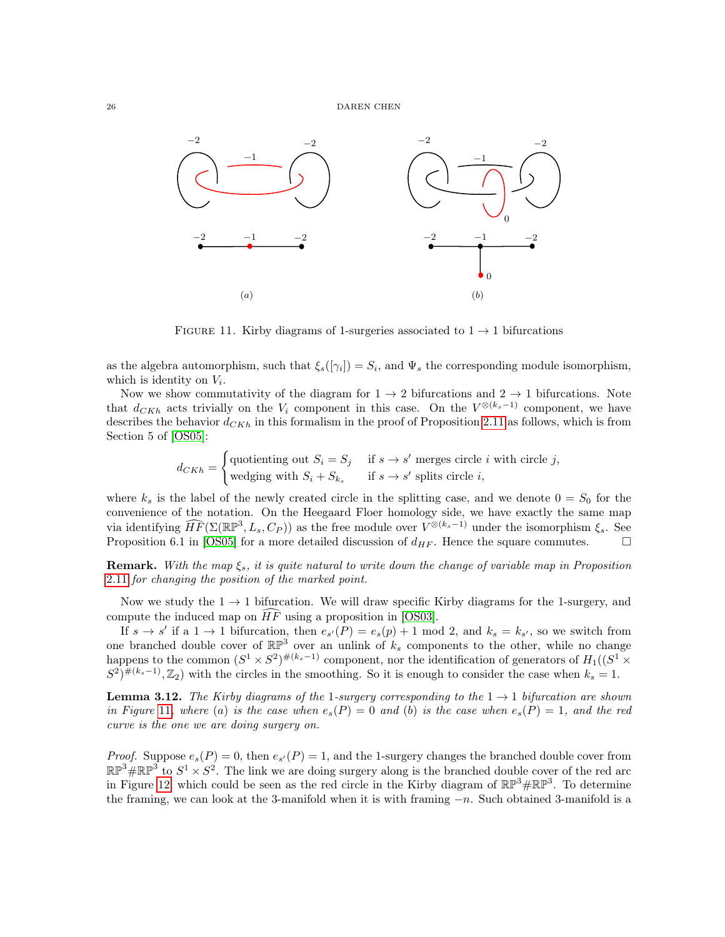

<span id="page-25-0"></span>FIGURE 11. Kirby diagrams of 1-surgeries associated to  $1 \rightarrow 1$  bifurcations

as the algebra automorphism, such that  $\xi_s([\gamma_i]) = S_i$ , and  $\Psi_s$  the corresponding module isomorphism, which is identity on  $V_i$ .

Now we show commutativity of the diagram for  $1 \rightarrow 2$  bifurcations and  $2 \rightarrow 1$  bifurcations. Note that  $d_{CKh}$  acts trivially on the  $V_i$  component in this case. On the  $V^{\otimes (k_s-1)}$  component, we have describes the behavior  $d_{CKh}$  in this formalism in the proof of Proposition 2.[11](#page-10-0) as follows, which is from Section 5 of [\[OS05\]](#page-31-0):

$$
d_{CKh} = \begin{cases} \text{quotienting out } S_i = S_j & \text{if } s \to s' \text{ merges circle } i \text{ with circle } j, \\ \text{wedges with } S_i + S_{k_s} & \text{if } s \to s' \text{ splits circle } i, \end{cases}
$$

where  $k_s$  is the label of the newly created circle in the splitting case, and we denote  $0 = S_0$  for the convenience of the notation. On the Heegaard Floer homology side, we have exactly the same map via identifying  $\widehat{HF}(\Sigma(\mathbb{RP}^3, L_s, C_P))$  as the free module over  $V^{\otimes (k_s-1)}$  under the isomorphism  $\xi_s$ . See Proposition 6.1 in [\[OS05\]](#page-31-0) for a more detailed discussion of  $d_{HF}$ . Hence the square commutes.

**Remark.** With the map  $\xi_s$ , it is quite natural to write down the change of variable map in Proposition 2.[11](#page-10-0) for changing the position of the marked point.

Now we study the  $1 \rightarrow 1$  bifurcation. We will draw specific Kirby diagrams for the 1-surgery, and compute the induced map on  $HF$  using a proposition in [\[OS03\]](#page-31-4).

If  $s \to s'$  if a  $1 \to 1$  bifurcation, then  $e_{s'}(P) = e_s(p) + 1 \mod 2$ , and  $k_s = k_{s'}$ , so we switch from one branched double cover of  $\mathbb{RP}^3$  over an unlink of  $k_s$  components to the other, while no change happens to the common  $(S^1 \times S^2)^{\#(k_s-1)}$  component, nor the identification of generators of  $H_1((S^1 \times S^2)^{\#(k_s-1)})$  $(S^2)^{\#(k_s-1)}, \mathbb{Z}_2$  with the circles in the smoothing. So it is enough to consider the case when  $k_s = 1$ .

**Lemma 3.12.** The Kirby diagrams of the 1-surgery corresponding to the  $1 \rightarrow 1$  bifurcation are shown in Figure [11](#page-25-0), where (a) is the case when  $e_s(P) = 0$  and (b) is the case when  $e_s(P) = 1$ , and the red curve is the one we are doing surgery on.

*Proof.* Suppose  $e_s(P) = 0$ , then  $e_{s'}(P) = 1$ , and the 1-surgery changes the branched double cover from  $\mathbb{RP}^3\#\mathbb{RP}^3$  to  $S^1 \times S^2$ . The link we are doing surgery along is the branched double cover of the red arc in Figure [12](#page-26-0), which could be seen as the red circle in the Kirby diagram of  $\mathbb{RP}^3\#\mathbb{RP}^3$ . To determine the framing, we can look at the 3-manifold when it is with framing  $-n$ . Such obtained 3-manifold is a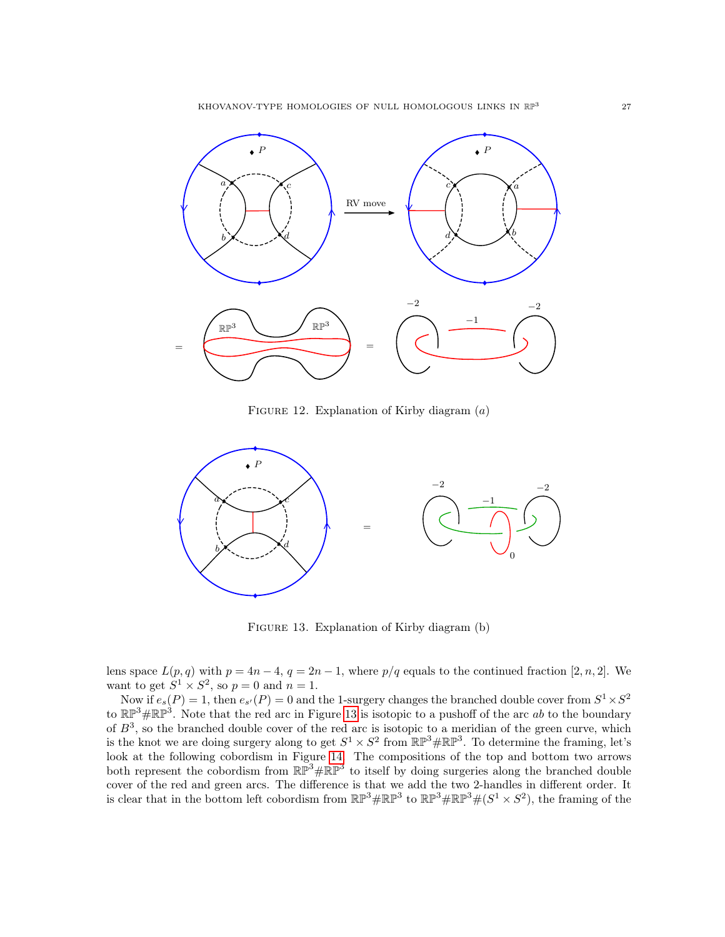KHOVANOV-TYPE HOMOLOGIES OF NULL HOMOLOGOUS LINKS IN  $\mathbb{RP}^3$ 



<span id="page-26-0"></span>FIGURE 12. Explanation of Kirby diagram  $(a)$ 



<span id="page-26-1"></span>FIGURE 13. Explanation of Kirby diagram (b)

lens space  $L(p, q)$  with  $p = 4n - 4$ ,  $q = 2n - 1$ , where  $p/q$  equals to the continued fraction [2, n, 2]. We want to get  $S^1 \times S^2$ , so  $p = 0$  and  $n = 1$ .

Now if  $e_s(P) = 1$ , then  $e_{s'}(P) = 0$  and the 1-surgery changes the branched double cover from  $S^1 \times S^2$ to  $\mathbb{RP}^3\#\mathbb{RP}^3$ . Note that the red arc in Figure [13](#page-26-1) is isotopic to a pushoff of the arc ab to the boundary of  $B^3$ , so the branched double cover of the red arc is isotopic to a meridian of the green curve, which is the knot we are doing surgery along to get  $S^1 \times S^2$  from  $\mathbb{RP}^3 \# \mathbb{RP}^3$ . To determine the framing, let's look at the following cobordism in Figure [14.](#page-27-0) The compositions of the top and bottom two arrows both represent the cobordism from  $\mathbb{RP}^3 \# \mathbb{RP}^3$  to itself by doing surgeries along the branched double cover of the red and green arcs. The difference is that we add the two 2-handles in different order. It is clear that in the bottom left cobordism from  $\mathbb{RP}^3\#\mathbb{RP}^3$  to  $\mathbb{RP}^3\#\mathbb{RP}^3\#(S^1\times S^2)$ , the framing of the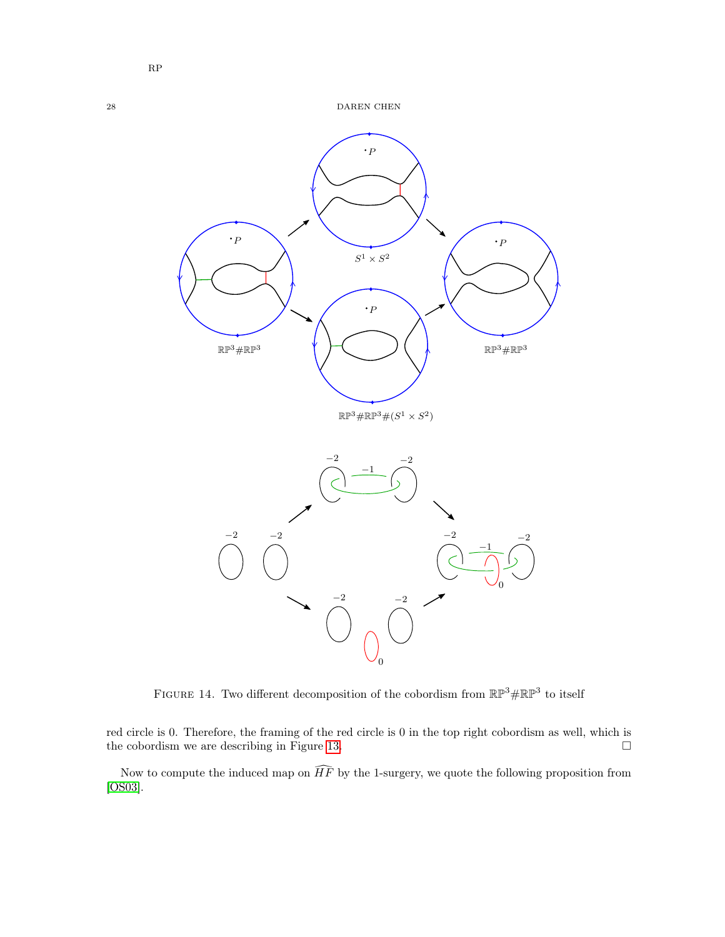

<span id="page-27-0"></span>FIGURE 14. Two different decomposition of the cobordism from  $\mathbb{RP}^3 \# \mathbb{RP}^3$  to itself

red circle is 0. Therefore, the framing of the red circle is 0 in the top right cobordism as well, which is the cobordism we are describing in Figure [13.](#page-26-1)  $\Box$ 

Now to compute the induced map on  $\widehat{HF}$  by the 1-surgery, we quote the following proposition from [\[OS03\]](#page-31-4).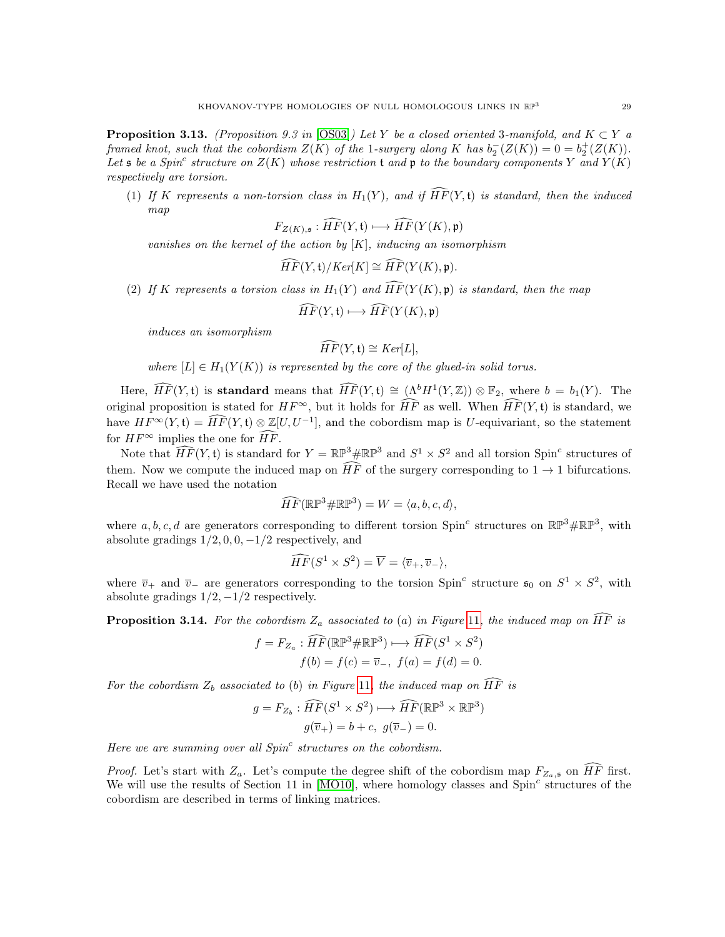<span id="page-28-0"></span>**Proposition 3.13.** (Proposition 9.3 in [\[OS03\]](#page-31-4)) Let Y be a closed oriented 3-manifold, and  $K \subset Y$  a framed knot, such that the cobordism  $Z(K)$  of the 1-surgery along K has  $b_2^-(Z(K)) = 0 = b_2^+(Z(K))$ . Let  $\mathfrak s$  be a Spin<sup>c</sup> structure on  $Z(K)$  whose restriction t and  $\mathfrak p$  to the boundary components Y and  $Y(K)$ respectively are torsion.

(1) If K represents a non-torsion class in  $H_1(Y)$ , and if  $\widehat{HF}(Y, \mathfrak{t})$  is standard, then the induced map

$$
F_{Z(K), \mathfrak{s}} : \widehat{HF}(Y, \mathfrak{t}) \longmapsto \widehat{HF}(Y(K), \mathfrak{p})
$$

vanishes on the kernel of the action by  $[K]$ , inducing an isomorphism

$$
\widehat{HF}(Y,\mathfrak{t})/Ker[K] \cong \widehat{HF}(Y(K),\mathfrak{p}).
$$

(2) If K represents a torsion class in  $H_1(Y)$  and  $\widehat{HF}(Y(K), \mathfrak{p})$  is standard, then the map

$$
\widehat{HF}(Y,\mathfrak{t})\longmapsto \widehat{HF}(Y(K),\mathfrak{p})
$$

induces an isomorphism

$$
\widehat{HF}(Y,\mathfrak{t}) \cong Ker[L],
$$

where  $[L] \in H_1(Y(K))$  is represented by the core of the glued-in solid torus.

Here,  $\widehat{HF}(Y, \mathfrak{t})$  is **standard** means that  $\widehat{HF}(Y, \mathfrak{t}) \cong (\Lambda^b H^1(Y, \mathbb{Z})) \otimes \mathbb{F}_2$ , where  $b = b_1(Y)$ . The original proposition is stated for  $HF^{\infty}$ , but it holds for  $\widehat{HF}$  as well. When  $\widehat{HF}(Y, \mathfrak{t})$  is standard, we have  $HF^{\infty}(Y, \mathfrak{t}) = \widehat{HF}(Y, \mathfrak{t}) \otimes \mathbb{Z}[U, U^{-1}],$  and the cobordism map is U-equivariant, so the statement for  $HF^{\infty}$  implies the one for  $\widehat{HF}$ .

Note that  $\widehat{HF}(Y, \mathfrak{t})$  is standard for  $Y = \mathbb{RP}^3 \# \mathbb{RP}^3$  and  $S^1 \times S^2$  and all torsion Spin<sup>c</sup> structures of them. Now we compute the induced map on  $\widehat{HF}$  of the surgery corresponding to  $1 \rightarrow 1$  bifurcations. Recall we have used the notation

$$
\widehat{HF}(\mathbb{RP}^3\#\mathbb{RP}^3)=W=\langle a,b,c,d\rangle,
$$

where  $a, b, c, d$  are generators corresponding to different torsion Spin<sup>c</sup> structures on  $\mathbb{RP}^3$ # $\mathbb{RP}^3$ , with absolute gradings  $1/2, 0, 0, -1/2$  respectively, and

$$
\widehat{HF}(S^1 \times S^2) = \overline{V} = \langle \overline{v}_+, \overline{v}_- \rangle,
$$

where  $\overline{v}_+$  and  $\overline{v}_-$  are generators corresponding to the torsion Spin<sup>c</sup> structure  $\mathfrak{s}_0$  on  $S^1 \times S^2$ , with absolute gradings  $1/2$ ,  $-1/2$  respectively.

<span id="page-28-1"></span>**Proposition 3.14.** For the cobordism  $Z_a$  associated to (a) in Figure [11](#page-25-0), the induced map on  $\overline{HF}$  is

$$
f = F_{Z_a} : \widehat{HF}(\mathbb{RP}^3 \# \mathbb{RP}^3) \longrightarrow \widehat{HF}(S^1 \times S^2)
$$
  

$$
f(b) = f(c) = \overline{v}_-, \ f(a) = f(d) = 0.
$$

For the cobordism  $Z_b$  associated to (b) in Figure [11](#page-25-0), the induced map on  $\widehat{HF}$  is

$$
g = F_{Z_b} : \widehat{HF}(S^1 \times S^2) \longrightarrow \widehat{HF}(\mathbb{RP}^3 \times \mathbb{RP}^3)
$$

$$
g(\overline{v}_+) = b + c, \ g(\overline{v}_-) = 0.
$$

Here we are summing over all  $Spin<sup>c</sup>$  structures on the cobordism.

*Proof.* Let's start with  $Z_a$ . Let's compute the degree shift of the cobordism map  $F_{Z_a, \mathfrak{s}}$  on  $\widehat{HF}$  first. We will use the results of Section 11 in  $[MO10]$ , where homology classes and Spin<sup>c</sup> structures of the cobordism are described in terms of linking matrices.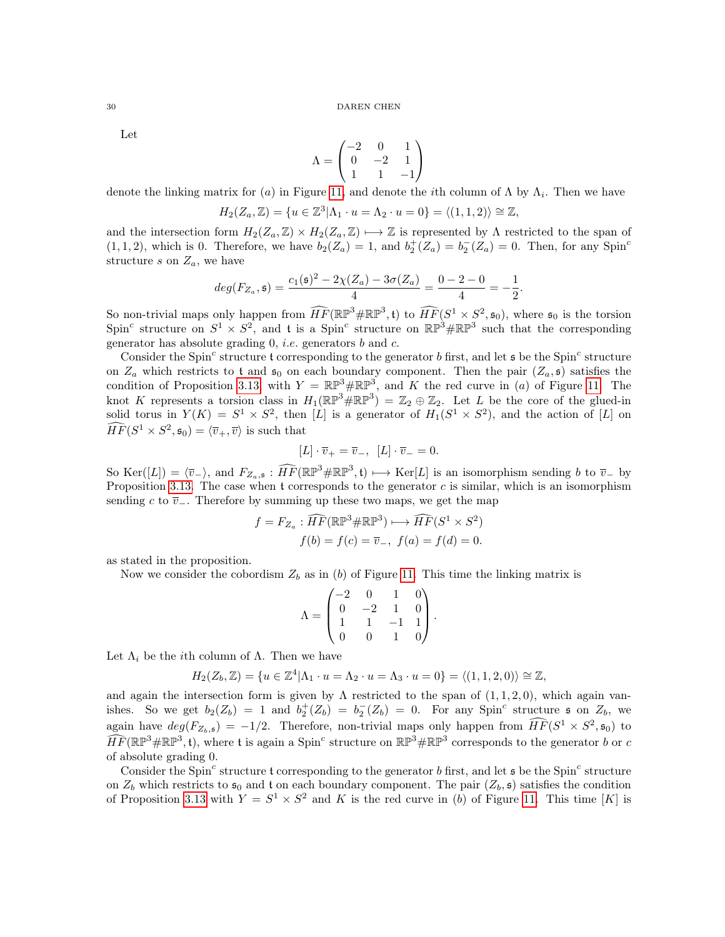Let

$$
\Lambda = \begin{pmatrix} -2 & 0 & 1 \\ 0 & -2 & 1 \\ 1 & 1 & -1 \end{pmatrix}
$$

denote the linking matrix for (a) in Figure [11](#page-25-0), and denote the *i*th column of  $\Lambda$  by  $\Lambda_i$ . Then we have

$$
H_2(Z_a, \mathbb{Z}) = \{ u \in \mathbb{Z}^3 | \Lambda_1 \cdot u = \Lambda_2 \cdot u = 0 \} = \langle (1, 1, 2) \rangle \cong \mathbb{Z},
$$

and the intersection form  $H_2(Z_a, \mathbb{Z}) \times H_2(Z_a, \mathbb{Z}) \mapsto \mathbb{Z}$  is represented by  $\Lambda$  restricted to the span of  $(1, 1, 2)$ , which is 0. Therefore, we have  $b_2(Z_a) = 1$ , and  $b_2^+(Z_a) = b_2^-(Z_a) = 0$ . Then, for any Spin<sup>c</sup> structure s on  $Z_a$ , we have

$$
deg(F_{Z_a}, \mathfrak{s}) = \frac{c_1(\mathfrak{s})^2 - 2\chi(Z_a) - 3\sigma(Z_a)}{4} = \frac{0 - 2 - 0}{4} = -\frac{1}{2}
$$

.

So non-trivial maps only happen from  $\widehat{HF}(\mathbb{RP}^3 \# \mathbb{RP}^3, \mathfrak{t})$  to  $\widehat{HF}(S^1 \times S^2, \mathfrak{s}_0)$ , where  $\mathfrak{s}_0$  is the torsion Spin<sup>c</sup> structure on  $S^1 \times S^2$ , and t is a Spin<sup>c</sup> structure on  $\mathbb{RP}^3 \# \mathbb{RP}^3$  such that the corresponding generator has absolute grading  $0$ , *i.e.* generators  $b$  and  $c$ .

Consider the Spin<sup>c</sup> structure t corresponding to the generator b first, and let  $\mathfrak s$  be the Spin<sup>c</sup> structure on  $Z_a$  which restricts to t and  $\mathfrak{s}_0$  on each boundary component. Then the pair  $(Z_a, \mathfrak{s})$  satisfies the condition of Proposition 3.[13](#page-28-0), with  $Y = \mathbb{RP}^3 \# \mathbb{RP}^3$ , and K the red curve in (a) of Figure [11](#page-25-0). The knot K represents a torsion class in  $H_1(\mathbb{RP}^3) = \mathbb{Z}_2 \oplus \mathbb{Z}_2$ . Let L be the core of the glued-in solid torus in  $Y(K) = S^1 \times S^2$ , then [L] is a generator of  $H_1(S^1 \times S^2)$ , and the action of [L] on  $\widehat{HF}(S^1 \times S^2, \mathfrak{s}_0) = \langle \overline{v}_+, \overline{v} \rangle$  is such that

$$
[L] \cdot \overline{v}_+ = \overline{v}_-, \ [L] \cdot \overline{v}_- = 0.
$$

So  $\text{Ker}([L]) = \langle \overline{v}_-\rangle$ , and  $F_{Z_a, \mathfrak{s}} : \widehat{HF}(\mathbb{RP}^3 \# \mathbb{RP}^3, \mathfrak{t}) \longmapsto \text{Ker}[L]$  is an isomorphism sending b to  $\overline{v}_-$  by Proposition 3.[13](#page-28-0). The case when t corresponds to the generator  $c$  is similar, which is an isomorphism sending  $c$  to  $\overline{v}_-$ . Therefore by summing up these two maps, we get the map

$$
f = F_{Z_a} : \widehat{HF}(\mathbb{RP}^3 \# \mathbb{RP}^3) \longrightarrow \widehat{HF}(S^1 \times S^2)
$$
  

$$
f(b) = f(c) = \overline{v}_-, \ f(a) = f(d) = 0.
$$

as stated in the proposition.

Now we consider the cobordism  $Z_b$  as in (b) of Figure [11](#page-25-0). This time the linking matrix is

$$
\Lambda = \begin{pmatrix} -2 & 0 & 1 & 0 \\ 0 & -2 & 1 & 0 \\ 1 & 1 & -1 & 1 \\ 0 & 0 & 1 & 0 \end{pmatrix}.
$$

Let  $\Lambda_i$  be the *i*th column of  $\Lambda$ . Then we have

$$
H_2(Z_b, \mathbb{Z}) = \{ u \in \mathbb{Z}^4 | \Lambda_1 \cdot u = \Lambda_2 \cdot u = \Lambda_3 \cdot u = 0 \} = \langle (1, 1, 2, 0) \rangle \cong \mathbb{Z},
$$

and again the intersection form is given by  $\Lambda$  restricted to the span of  $(1, 1, 2, 0)$ , which again vanishes. So we get  $b_2(Z_b) = 1$  and  $b_2^+(Z_b) = b_2^-(Z_b) = 0$ . For any Spin<sup>c</sup> structure s on  $Z_b$ , we again have  $deg(F_{Z_b, \mathfrak{s}}) = -1/2$ . Therefore, non-trivial maps only happen from  $\widehat{HF}(S^1 \times S^2, \mathfrak{s}_0)$  to  $\widehat{HF}(\mathbb{RP}^3 \# \mathbb{RP}^3, t)$ , where t is again a Spin<sup>c</sup> structure on  $\mathbb{RP}^3 \# \mathbb{RP}^3$  corresponds to the generator b or c of absolute grading 0.

Consider the Spin<sup>c</sup> structure t corresponding to the generator b first, and let  $\mathfrak s$  be the Spin<sup>c</sup> structure on  $Z_b$  which restricts to  $\mathfrak{s}_0$  and t on each boundary component. The pair  $(Z_b, \mathfrak{s})$  satisfies the condition of Proposition 3.[13](#page-28-0) with  $Y = S^1 \times S^2$  and K is the red curve in (b) of Figure [11](#page-25-0). This time [K] is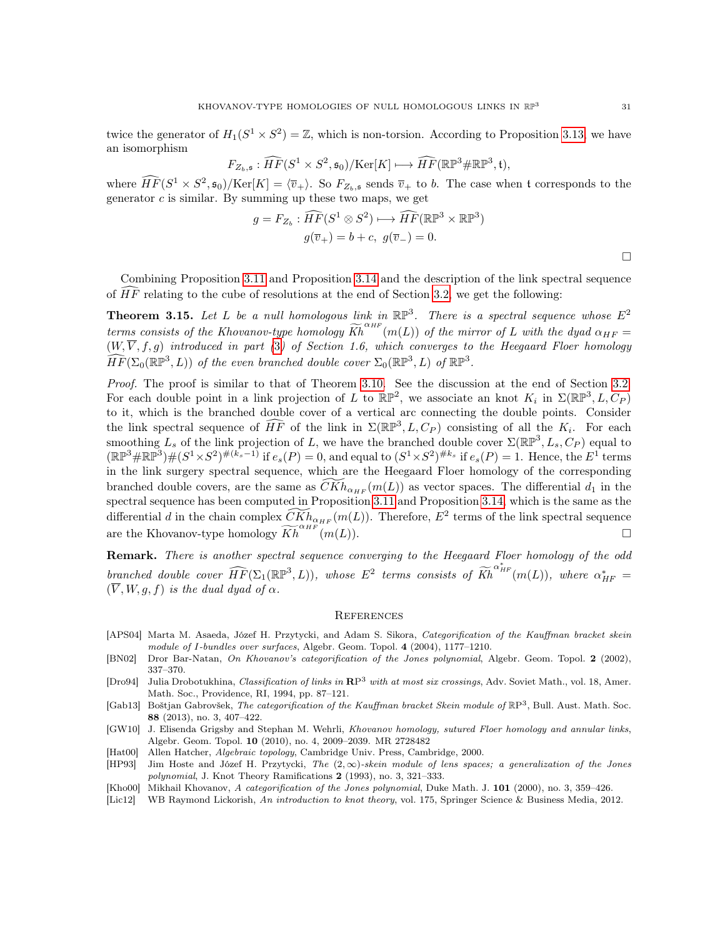$\Box$ 

twice the generator of  $H_1(S^1 \times S^2) = \mathbb{Z}$ , which is non-torsion. According to Proposition 3.[13](#page-28-0), we have an isomorphism

$$
F_{Z_b, \mathfrak{s}} : \widehat{HF}(S^1 \times S^2, \mathfrak{s}_0)/\text{Ker}[K] \longmapsto \widehat{HF}(\mathbb{RP}^3 \# \mathbb{RP}^3, \mathfrak{t}),
$$

where  $\widehat{HF}(S^1 \times S^2, \mathfrak{s}_0)/\text{Ker}[K] = \langle \overline{v}_+ \rangle$ . So  $F_{Z_b, \mathfrak{s}}$  sends  $\overline{v}_+$  to b. The case when t corresponds to the generator  $c$  is similar. By summing up these two maps, we get

$$
g = F_{Z_b} : \widehat{HF}(S^1 \otimes S^2) \longmapsto \widehat{HF}(\mathbb{RP}^3 \times \mathbb{RP}^3)
$$

$$
g(\overline{v}_+) = b + c, \ g(\overline{v}_-) = 0.
$$

Combining Proposition 3.[11](#page-24-0) and Proposition 3.[14](#page-28-1) and the description of the link spectral sequence of  $HF$  relating to the cube of resolutions at the end of Section [3](#page-22-0).2, we get the following:

**Theorem 3.15.** Let L be a null homologous link in  $\mathbb{RP}^3$ . There is a spectral sequence whose  $E^2$ terms consists of the Khovanov-type homology  $\widetilde{Kh}^{\alpha_{HF}}(m(L))$  of the mirror of L with the dyad  $\alpha_{HF} =$  $(W, \overline{V}, f, g)$  introduced in part ([3](#page-17-1)) of Section 1.6, which converges to the Heegaard Floer homology  $\widehat{HF}(\Sigma_0(\mathbb{RP}^3, L))$  of the even branched double cover  $\Sigma_0(\mathbb{RP}^3, L)$  of  $\mathbb{RP}^3$ .

Proof. The proof is similar to that of Theorem [3.10.](#page-23-2) See the discussion at the end of Section [3.2.](#page-22-0) For each double point in a link projection of L to  $\mathbb{RP}^2$ , we associate an knot  $K_i$  in  $\Sigma(\mathbb{RP}^3, L, C_P)$ to it, which is the branched double cover of a vertical arc connecting the double points. Consider the link spectral sequence of  $\widehat{HF}$  of the link in  $\Sigma(\mathbb{RP}^3, L, C_P)$  consisting of all the  $K_i$ . For each smoothing  $L_s$  of the link projection of L, we have the branched double cover  $\Sigma(\mathbb{RP}^3, L_s, C_P)$  equal to  $(\mathbb{RP}^3 \# \mathbb{RP}^3) \# (S^1 \times S^2)^{\#(k_s-1)}$  if  $e_s(P) = 0$ , and equal to  $(S^1 \times S^2)^{\#k_s}$  if  $e_s(P) = 1$ . Hence, the  $E^1$  terms in the link surgery spectral sequence, which are the Heegaard Floer homology of the corresponding branched double covers, are the same as  $\widetilde{CKh}_{\alpha_{HF}}(m(L))$  as vector spaces. The differential  $d_1$  in the spectral sequence has been computed in Proposition [3.11](#page-24-0) and Proposition [3.14,](#page-28-1) which is the same as the differential d in the chain complex  $\widetilde{CKh}_{\alpha_{HF}}(m(L))$ . Therefore,  $E^2$  terms of the link spectral sequence are the Khovanov-type homology  $\widetilde{Kh}^{\alpha_H F^{\alpha_H} (n(L))}$ .

Remark. There is another spectral sequence converging to the Heegaard Floer homology of the odd branched double cover  $\widehat{HF}(\Sigma_1(\mathbb{RP}^3, L))$ , whose  $E^2$  terms consists of  $\widetilde{Kh}^{\alpha_{HF}^*}(m(L))$ , where  $\alpha_{HF}^* =$  $(\overline{V}, W, q, f)$  is the dual dyad of  $\alpha$ .

#### **REFERENCES**

- <span id="page-30-0"></span>[APS04] Marta M. Asaeda, Józef H. Przytycki, and Adam S. Sikora, Categorification of the Kauffman bracket skein module of I-bundles over surfaces, Algebr. Geom. Topol.  $4$  (2004), 1177–1210.
- <span id="page-30-5"></span>[BN02] Dror Bar-Natan, On Khovanov's categorification of the Jones polynomial, Algebr. Geom. Topol. 2 (2002), 337–370.
- <span id="page-30-4"></span>[Dro94] Julia Drobotukhina, Classification of links in RP<sup>3</sup> with at most six crossings, Adv. Soviet Math., vol. 18, Amer. Math. Soc., Providence, RI, 1994, pp. 87–121.
- <span id="page-30-2"></span>[Gab13] Boštjan Gabrovšek, The categorification of the Kauffman bracket Skein module of  $\mathbb{R}P^3$ , Bull. Aust. Math. Soc. 88 (2013), no. 3, 407–422.
- <span id="page-30-7"></span>[GW10] J. Elisenda Grigsby and Stephan M. Wehrli, Khovanov homology, sutured Floer homology and annular links, Algebr. Geom. Topol. 10 (2010), no. 4, 2009–2039. MR 2728482
- <span id="page-30-8"></span>[Hat00] Allen Hatcher, Algebraic topology, Cambridge Univ. Press, Cambridge, 2000.
- <span id="page-30-6"></span>[HP93] Jim Hoste and Józef H. Przytycki, The  $(2,\infty)$ -skein module of lens spaces; a generalization of the Jones polynomial, J. Knot Theory Ramifications 2 (1993), no. 3, 321–333.
- <span id="page-30-1"></span>[Kho00] Mikhail Khovanov, A categorification of the Jones polynomial, Duke Math. J. 101 (2000), no. 3, 359–426.
- <span id="page-30-3"></span>[Lic12] WB Raymond Lickorish, An introduction to knot theory, vol. 175, Springer Science & Business Media, 2012.